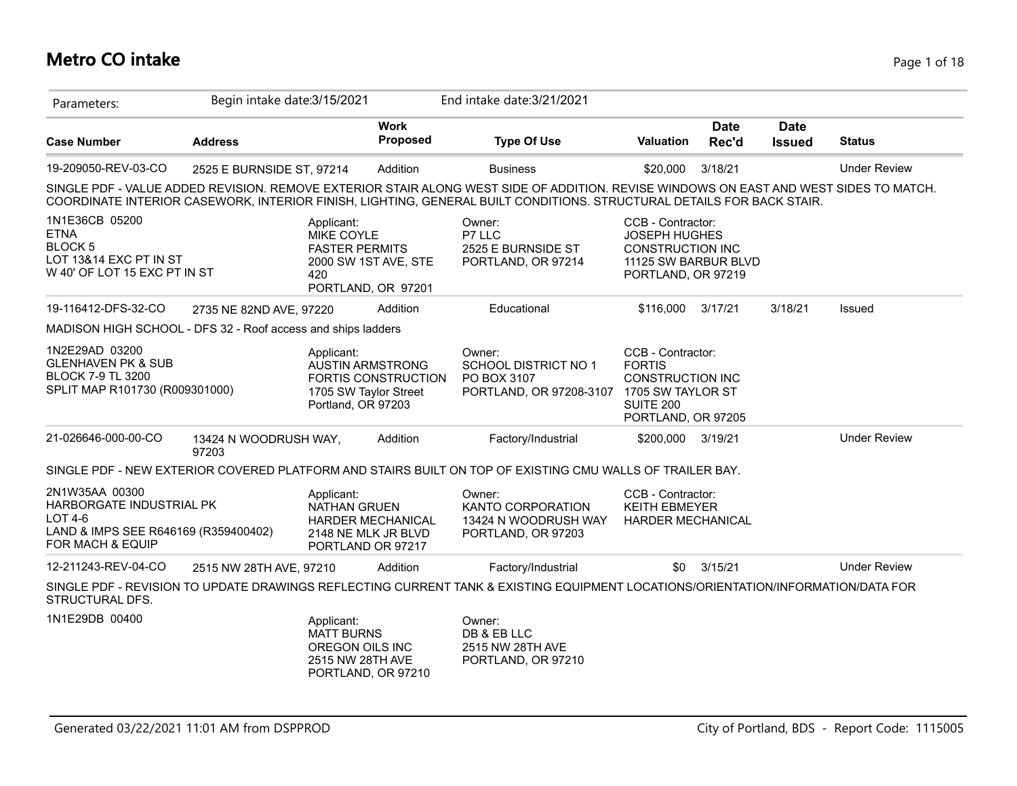#### **Metro CO intake** Page 1 of 18

| Parameters:                                                                                                        | Begin intake date: 3/15/2021   |                                                                        |                                                                         | End intake date: 3/21/2021                                                                                                                                                                                                                                     |                                                                                                                    |                      |                              |                     |
|--------------------------------------------------------------------------------------------------------------------|--------------------------------|------------------------------------------------------------------------|-------------------------------------------------------------------------|----------------------------------------------------------------------------------------------------------------------------------------------------------------------------------------------------------------------------------------------------------------|--------------------------------------------------------------------------------------------------------------------|----------------------|------------------------------|---------------------|
| <b>Case Number</b>                                                                                                 | <b>Address</b>                 |                                                                        | <b>Work</b><br>Proposed                                                 | <b>Type Of Use</b>                                                                                                                                                                                                                                             | Valuation                                                                                                          | <b>Date</b><br>Rec'd | <b>Date</b><br><b>Issued</b> | <b>Status</b>       |
| 19-209050-REV-03-CO                                                                                                | 2525 E BURNSIDE ST, 97214      |                                                                        | Addition                                                                | <b>Business</b>                                                                                                                                                                                                                                                | \$20,000                                                                                                           | 3/18/21              |                              | <b>Under Review</b> |
|                                                                                                                    |                                |                                                                        |                                                                         | SINGLE PDF - VALUE ADDED REVISION. REMOVE EXTERIOR STAIR ALONG WEST SIDE OF ADDITION. REVISE WINDOWS ON EAST AND WEST SIDES TO MATCH.<br>COORDINATE INTERIOR CASEWORK, INTERIOR FINISH, LIGHTING, GENERAL BUILT CONDITIONS. STRUCTURAL DETAILS FOR BACK STAIR. |                                                                                                                    |                      |                              |                     |
| 1N1E36CB 05200<br><b>ETNA</b><br>BLOCK <sub>5</sub><br>LOT 13&14 EXC PT IN ST<br>W 40' OF LOT 15 EXC PT IN ST      |                                | Applicant:<br>MIKE COYLE<br><b>FASTER PERMITS</b><br>420               | 2000 SW 1ST AVE, STE<br>PORTLAND, OR 97201                              | Owner:<br>P7 LLC<br>2525 E BURNSIDE ST<br>PORTLAND, OR 97214                                                                                                                                                                                                   | CCB - Contractor:<br><b>JOSEPH HUGHES</b><br><b>CONSTRUCTION INC</b><br>11125 SW BARBUR BLVD<br>PORTLAND, OR 97219 |                      |                              |                     |
| 19-116412-DFS-32-CO                                                                                                | 2735 NE 82ND AVE, 97220        |                                                                        | Addition                                                                | Educational                                                                                                                                                                                                                                                    | \$116,000 3/17/21                                                                                                  |                      | 3/18/21                      | Issued              |
| MADISON HIGH SCHOOL - DFS 32 - Roof access and ships ladders                                                       |                                |                                                                        |                                                                         |                                                                                                                                                                                                                                                                |                                                                                                                    |                      |                              |                     |
| 1N2E29AD 03200<br><b>GLENHAVEN PK &amp; SUB</b><br><b>BLOCK 7-9 TL 3200</b><br>SPLIT MAP R101730 (R009301000)      |                                | Applicant:<br>Portland, OR 97203                                       | <b>AUSTIN ARMSTRONG</b><br>FORTIS CONSTRUCTION<br>1705 SW Taylor Street | Owner:<br>SCHOOL DISTRICT NO 1<br>PO BOX 3107<br>PORTLAND, OR 97208-3107 1705 SW TAYLOR ST                                                                                                                                                                     | CCB - Contractor:<br><b>FORTIS</b><br><b>CONSTRUCTION INC</b><br>SUITE 200<br>PORTLAND, OR 97205                   |                      |                              |                     |
| 21-026646-000-00-CO                                                                                                | 13424 N WOODRUSH WAY,<br>97203 |                                                                        | Addition                                                                | Factory/Industrial                                                                                                                                                                                                                                             | \$200,000                                                                                                          | 3/19/21              |                              | <b>Under Review</b> |
|                                                                                                                    |                                |                                                                        |                                                                         | SINGLE PDF - NEW EXTERIOR COVERED PLATFORM AND STAIRS BUILT ON TOP OF EXISTING CMU WALLS OF TRAILER BAY.                                                                                                                                                       |                                                                                                                    |                      |                              |                     |
| 2N1W35AA 00300<br>HARBORGATE INDUSTRIAL PK<br>$LOT4-6$<br>LAND & IMPS SEE R646169 (R359400402)<br>FOR MACH & EQUIP |                                | Applicant:<br>NATHAN GRUEN                                             | <b>HARDER MECHANICAL</b><br>2148 NE MLK JR BLVD<br>PORTLAND OR 97217    | Owner:<br>KANTO CORPORATION<br>13424 N WOODRUSH WAY<br>PORTLAND, OR 97203                                                                                                                                                                                      | CCB - Contractor:<br><b>KEITH EBMEYER</b><br><b>HARDER MECHANICAL</b>                                              |                      |                              |                     |
| 12-211243-REV-04-CO                                                                                                | 2515 NW 28TH AVE, 97210        |                                                                        | Addition                                                                | Factory/Industrial                                                                                                                                                                                                                                             | \$0                                                                                                                | 3/15/21              |                              | <b>Under Review</b> |
| STRUCTURAL DFS.                                                                                                    |                                |                                                                        |                                                                         | SINGLE PDF - REVISION TO UPDATE DRAWINGS REFLECTING CURRENT TANK & EXISTING EQUIPMENT LOCATIONS/ORIENTATION/INFORMATION/DATA FOR                                                                                                                               |                                                                                                                    |                      |                              |                     |
| 1N1E29DB 00400                                                                                                     |                                | Applicant:<br><b>MATT BURNS</b><br>OREGON OILS INC<br>2515 NW 28TH AVE | PORTLAND, OR 97210                                                      | Owner:<br>DB & EB LLC<br>2515 NW 28TH AVE<br>PORTLAND, OR 97210                                                                                                                                                                                                |                                                                                                                    |                      |                              |                     |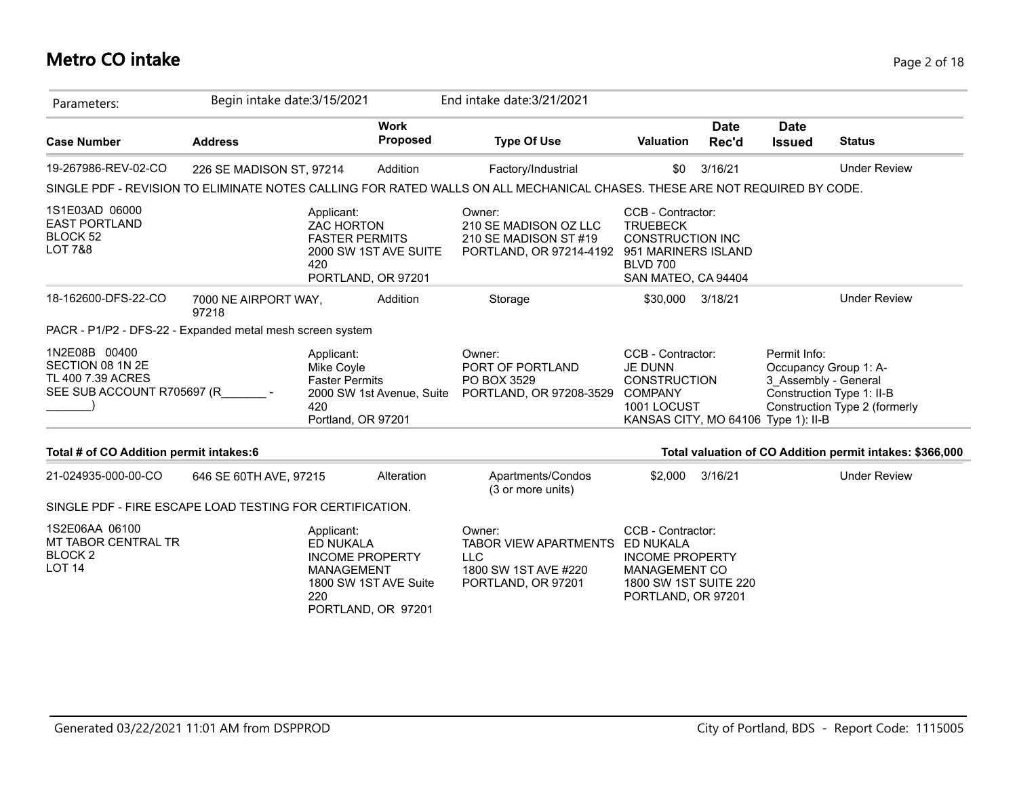# **Metro CO intake** Page 2 of 18

| Parameters:                                                                          | Begin intake date: 3/15/2021  |                                                                                                                                     |                                | End intake date: 3/21/2021                                                                                                 |                                                                                                                                    |                      |                                      |                                                                                     |
|--------------------------------------------------------------------------------------|-------------------------------|-------------------------------------------------------------------------------------------------------------------------------------|--------------------------------|----------------------------------------------------------------------------------------------------------------------------|------------------------------------------------------------------------------------------------------------------------------------|----------------------|--------------------------------------|-------------------------------------------------------------------------------------|
| <b>Case Number</b>                                                                   | <b>Address</b>                |                                                                                                                                     | <b>Work</b><br><b>Proposed</b> | <b>Type Of Use</b>                                                                                                         | Valuation                                                                                                                          | <b>Date</b><br>Rec'd | <b>Date</b><br><b>Issued</b>         | <b>Status</b>                                                                       |
| 19-267986-REV-02-CO                                                                  | 226 SE MADISON ST, 97214      |                                                                                                                                     | Addition                       | Factory/Industrial                                                                                                         | \$0                                                                                                                                | 3/16/21              |                                      | <b>Under Review</b>                                                                 |
|                                                                                      |                               |                                                                                                                                     |                                | SINGLE PDF - REVISION TO ELIMINATE NOTES CALLING FOR RATED WALLS ON ALL MECHANICAL CHASES. THESE ARE NOT REQUIRED BY CODE. |                                                                                                                                    |                      |                                      |                                                                                     |
| 1S1E03AD 06000<br><b>EAST PORTLAND</b><br>BLOCK 52<br><b>LOT 7&amp;8</b>             |                               | Applicant:<br><b>ZAC HORTON</b><br><b>FASTER PERMITS</b><br>420<br>PORTLAND, OR 97201                                               | 2000 SW 1ST AVE SUITE          | Owner:<br>210 SE MADISON OZ LLC<br>210 SE MADISON ST #19<br>PORTLAND, OR 97214-4192                                        | CCB - Contractor:<br><b>TRUEBECK</b><br><b>CONSTRUCTION INC</b><br>951 MARINERS ISLAND<br><b>BLVD 700</b><br>SAN MATEO, CA 94404   |                      |                                      |                                                                                     |
| 18-162600-DFS-22-CO                                                                  | 7000 NE AIRPORT WAY,<br>97218 |                                                                                                                                     | Addition                       | Storage                                                                                                                    | \$30,000                                                                                                                           | 3/18/21              |                                      | <b>Under Review</b>                                                                 |
| PACR - P1/P2 - DFS-22 - Expanded metal mesh screen system                            |                               |                                                                                                                                     |                                |                                                                                                                            |                                                                                                                                    |                      |                                      |                                                                                     |
| 1N2E08B 00400<br>SECTION 08 1N 2E<br>TL 400 7.39 ACRES<br>SEE SUB ACCOUNT R705697 (R |                               | Applicant:<br>Mike Coyle<br><b>Faster Permits</b><br>420<br>Portland, OR 97201                                                      | 2000 SW 1st Avenue, Suite      | Owner:<br>PORT OF PORTLAND<br>PO BOX 3529<br>PORTLAND, OR 97208-3529                                                       | CCB - Contractor:<br><b>JE DUNN</b><br><b>CONSTRUCTION</b><br><b>COMPANY</b><br>1001 LOCUST<br>KANSAS CITY, MO 64106 Type 1): II-B |                      | Permit Info:<br>3 Assembly - General | Occupancy Group 1: A-<br>Construction Type 1: II-B<br>Construction Type 2 (formerly |
| Total # of CO Addition permit intakes:6                                              |                               |                                                                                                                                     |                                |                                                                                                                            |                                                                                                                                    |                      |                                      | Total valuation of CO Addition permit intakes: \$366,000                            |
| 21-024935-000-00-CO                                                                  | 646 SE 60TH AVE, 97215        |                                                                                                                                     | Alteration                     | Apartments/Condos<br>(3 or more units)                                                                                     | \$2,000                                                                                                                            | 3/16/21              |                                      | <b>Under Review</b>                                                                 |
| SINGLE PDF - FIRE ESCAPE LOAD TESTING FOR CERTIFICATION.                             |                               |                                                                                                                                     |                                |                                                                                                                            |                                                                                                                                    |                      |                                      |                                                                                     |
| 1S2E06AA 06100<br>MT TABOR CENTRAL TR<br><b>BLOCK2</b><br><b>LOT 14</b>              |                               | Applicant:<br><b>ED NUKALA</b><br><b>INCOME PROPERTY</b><br><b>MANAGEMENT</b><br>1800 SW 1ST AVE Suite<br>220<br>PORTLAND, OR 97201 |                                | Owner:<br><b>TABOR VIEW APARTMENTS</b><br><b>LLC</b><br>1800 SW 1ST AVE #220<br>PORTLAND, OR 97201                         | CCB - Contractor:<br>ED NUKALA<br><b>INCOME PROPERTY</b><br><b>MANAGEMENT CO</b><br>1800 SW 1ST SUITE 220<br>PORTLAND, OR 97201    |                      |                                      |                                                                                     |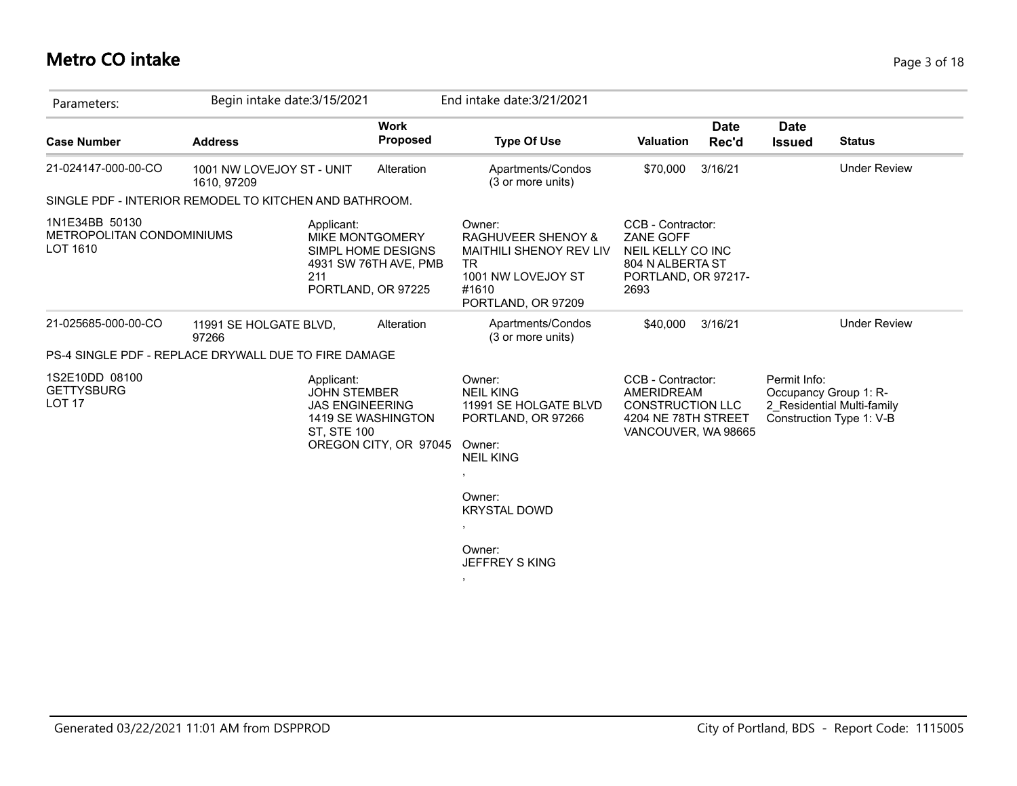# **Metro CO intake** Page 3 of 18

| Parameters:                                             | Begin intake date: 3/15/2021                                |                                                                                              | End intake date: 3/21/2021                                                                                                                    |                                                                                                          |                                                                                                 |
|---------------------------------------------------------|-------------------------------------------------------------|----------------------------------------------------------------------------------------------|-----------------------------------------------------------------------------------------------------------------------------------------------|----------------------------------------------------------------------------------------------------------|-------------------------------------------------------------------------------------------------|
| <b>Case Number</b>                                      | <b>Address</b>                                              | <b>Work</b><br><b>Proposed</b>                                                               | <b>Type Of Use</b>                                                                                                                            | <b>Date</b><br><b>Valuation</b><br>Rec'd                                                                 | <b>Date</b><br><b>Status</b><br><b>Issued</b>                                                   |
| 21-024147-000-00-CO                                     | 1001 NW LOVEJOY ST - UNIT<br>1610, 97209                    | Alteration                                                                                   | Apartments/Condos<br>(3 or more units)                                                                                                        | 3/16/21<br>\$70,000                                                                                      | <b>Under Review</b>                                                                             |
|                                                         | SINGLE PDF - INTERIOR REMODEL TO KITCHEN AND BATHROOM.      |                                                                                              |                                                                                                                                               |                                                                                                          |                                                                                                 |
| 1N1E34BB 50130<br>METROPOLITAN CONDOMINIUMS<br>LOT 1610 | Applicant:<br>211                                           | <b>MIKE MONTGOMERY</b><br>SIMPL HOME DESIGNS<br>4931 SW 76TH AVE, PMB<br>PORTLAND, OR 97225  | Owner:<br><b>RAGHUVEER SHENOY &amp;</b><br><b>MAITHILI SHENOY REV LIV</b><br>TR.<br>1001 NW LOVEJOY ST<br>#1610<br>PORTLAND, OR 97209         | CCB - Contractor:<br>ZANE GOFF<br>NEIL KELLY CO INC<br>804 N ALBERTA ST<br>PORTLAND, OR 97217-<br>2693   |                                                                                                 |
| 21-025685-000-00-CO                                     | 11991 SE HOLGATE BLVD,<br>97266                             | Alteration                                                                                   | Apartments/Condos<br>(3 or more units)                                                                                                        | \$40,000<br>3/16/21                                                                                      | <b>Under Review</b>                                                                             |
|                                                         | <b>PS-4 SINGLE PDF - REPLACE DRYWALL DUE TO FIRE DAMAGE</b> |                                                                                              |                                                                                                                                               |                                                                                                          |                                                                                                 |
| 1S2E10DD 08100<br><b>GETTYSBURG</b><br><b>LOT 17</b>    | Applicant:<br><b>ST, STE 100</b>                            | <b>JOHN STEMBER</b><br><b>JAS ENGINEERING</b><br>1419 SE WASHINGTON<br>OREGON CITY, OR 97045 | Owner:<br><b>NEIL KING</b><br>11991 SE HOLGATE BLVD<br>PORTLAND, OR 97266<br>Owner:<br><b>NEIL KING</b><br>$\overline{\phantom{a}}$<br>Owner: | CCB - Contractor:<br>AMERIDREAM<br><b>CONSTRUCTION LLC</b><br>4204 NE 78TH STREET<br>VANCOUVER, WA 98665 | Permit Info:<br>Occupancy Group 1: R-<br>2_Residential Multi-family<br>Construction Type 1: V-B |
|                                                         |                                                             |                                                                                              | <b>KRYSTAL DOWD</b><br>$\,$                                                                                                                   |                                                                                                          |                                                                                                 |
|                                                         |                                                             |                                                                                              | Owner:<br>JEFFREY S KING                                                                                                                      |                                                                                                          |                                                                                                 |
|                                                         |                                                             |                                                                                              | $\bullet$                                                                                                                                     |                                                                                                          |                                                                                                 |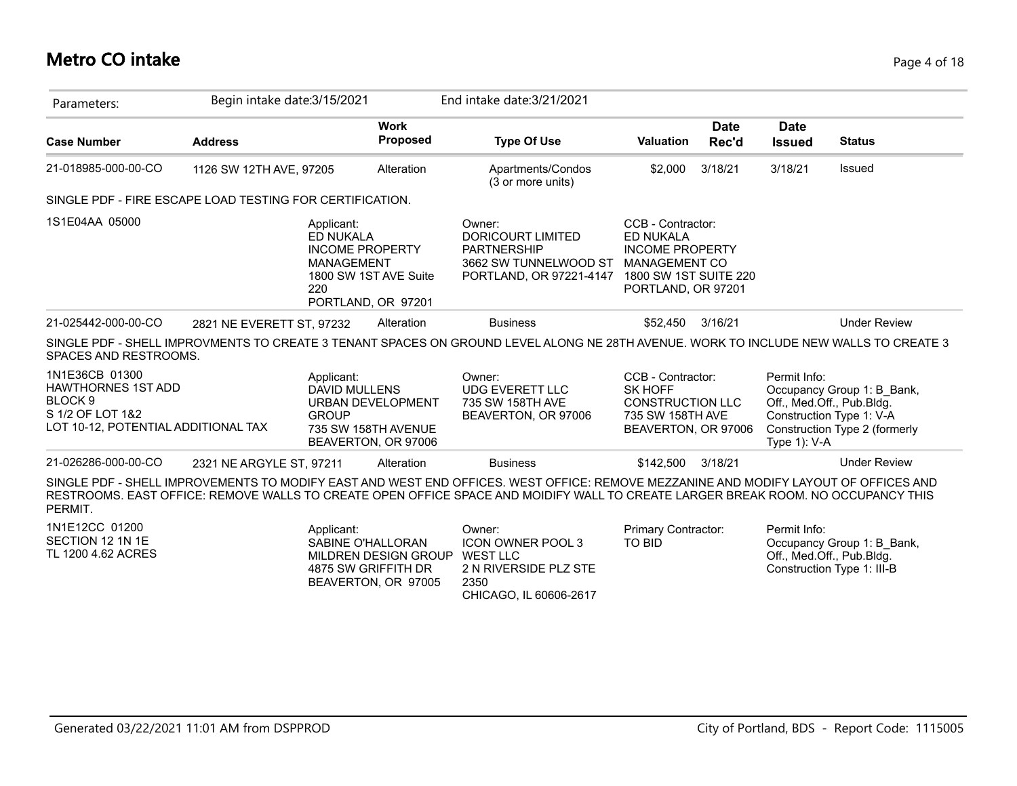### **Metro CO intake** Page 4 of 18

| Parameters:                                                                                                                  | Begin intake date: 3/15/2021 |                                                                                                     |                                                                        | End intake date: 3/21/2021                                                                                                                                                                                                                                              |                                                                                                           |                      |                                                           |                                                                                         |
|------------------------------------------------------------------------------------------------------------------------------|------------------------------|-----------------------------------------------------------------------------------------------------|------------------------------------------------------------------------|-------------------------------------------------------------------------------------------------------------------------------------------------------------------------------------------------------------------------------------------------------------------------|-----------------------------------------------------------------------------------------------------------|----------------------|-----------------------------------------------------------|-----------------------------------------------------------------------------------------|
| <b>Case Number</b>                                                                                                           | <b>Address</b>               |                                                                                                     | <b>Work</b><br>Proposed                                                | <b>Type Of Use</b>                                                                                                                                                                                                                                                      | <b>Valuation</b>                                                                                          | <b>Date</b><br>Rec'd | <b>Date</b><br><b>Issued</b>                              | <b>Status</b>                                                                           |
| 21-018985-000-00-CO                                                                                                          | 1126 SW 12TH AVE, 97205      |                                                                                                     | Alteration                                                             | Apartments/Condos<br>(3 or more units)                                                                                                                                                                                                                                  | \$2,000                                                                                                   | 3/18/21              | 3/18/21                                                   | Issued                                                                                  |
| SINGLE PDF - FIRE ESCAPE LOAD TESTING FOR CERTIFICATION.                                                                     |                              |                                                                                                     |                                                                        |                                                                                                                                                                                                                                                                         |                                                                                                           |                      |                                                           |                                                                                         |
| 1S1E04AA 05000                                                                                                               |                              | Applicant:<br>ED NUKALA<br><b>INCOME PROPERTY</b><br><b>MANAGEMENT</b><br>220<br>PORTLAND, OR 97201 | 1800 SW 1ST AVE Suite                                                  | Owner:<br><b>DORICOURT LIMITED</b><br><b>PARTNERSHIP</b><br>3662 SW TUNNELWOOD ST<br>PORTLAND, OR 97221-4147 1800 SW 1ST SUITE 220                                                                                                                                      | CCB - Contractor:<br>ED NUKALA<br><b>INCOME PROPERTY</b><br><b>MANAGEMENT CO</b><br>PORTLAND, OR 97201    |                      |                                                           |                                                                                         |
| 21-025442-000-00-CO                                                                                                          | 2821 NE EVERETT ST, 97232    |                                                                                                     | Alteration                                                             | <b>Business</b>                                                                                                                                                                                                                                                         | \$52,450                                                                                                  | 3/16/21              |                                                           | <b>Under Review</b>                                                                     |
| SPACES AND RESTROOMS.                                                                                                        |                              |                                                                                                     |                                                                        | SINGLE PDF - SHELL IMPROVMENTS TO CREATE 3 TENANT SPACES ON GROUND LEVEL ALONG NE 28TH AVENUE. WORK TO INCLUDE NEW WALLS TO CREATE 3                                                                                                                                    |                                                                                                           |                      |                                                           |                                                                                         |
| 1N1E36CB 01300<br><b>HAWTHORNES 1ST ADD</b><br>BLOCK <sub>9</sub><br>S 1/2 OF LOT 1&2<br>LOT 10-12, POTENTIAL ADDITIONAL TAX |                              | Applicant:<br><b>DAVID MULLENS</b><br><b>GROUP</b>                                                  | <b>URBAN DEVELOPMENT</b><br>735 SW 158TH AVENUE<br>BEAVERTON, OR 97006 | Owner:<br><b>UDG EVERETT LLC</b><br>735 SW 158TH AVE<br>BEAVERTON, OR 97006                                                                                                                                                                                             | CCB - Contractor:<br><b>SK HOFF</b><br><b>CONSTRUCTION LLC</b><br>735 SW 158TH AVE<br>BEAVERTON, OR 97006 |                      | Permit Info:<br>Off., Med.Off., Pub.Bldg.<br>Type 1): V-A | Occupancy Group 1: B_Bank,<br>Construction Type 1: V-A<br>Construction Type 2 (formerly |
| 21-026286-000-00-CO                                                                                                          | 2321 NE ARGYLE ST, 97211     |                                                                                                     | Alteration                                                             | <b>Business</b>                                                                                                                                                                                                                                                         | \$142,500                                                                                                 | 3/18/21              |                                                           | <b>Under Review</b>                                                                     |
| PERMIT.                                                                                                                      |                              |                                                                                                     |                                                                        | SINGLE PDF - SHELL IMPROVEMENTS TO MODIFY EAST AND WEST END OFFICES. WEST OFFICE: REMOVE MEZZANINE AND MODIFY LAYOUT OF OFFICES AND<br>RESTROOMS. EAST OFFICE: REMOVE WALLS TO CREATE OPEN OFFICE SPACE AND MOIDIFY WALL TO CREATE LARGER BREAK ROOM. NO OCCUPANCY THIS |                                                                                                           |                      |                                                           |                                                                                         |
| 1N1E12CC 01200<br>SECTION 12 1N 1E<br>TL 1200 4.62 ACRES                                                                     |                              | Applicant:<br>SABINE O'HALLORAN<br>4875 SW GRIFFITH DR                                              | MILDREN DESIGN GROUP<br>BEAVERTON, OR 97005                            | Owner:<br><b>ICON OWNER POOL 3</b><br><b>WEST LLC</b><br>2 N RIVERSIDE PLZ STE<br>2350<br>CHICAGO, IL 60606-2617                                                                                                                                                        | Primary Contractor:<br><b>TO BID</b>                                                                      |                      | Permit Info:<br>Off., Med.Off., Pub.Bldg.                 | Occupancy Group 1: B_Bank,<br>Construction Type 1: III-B                                |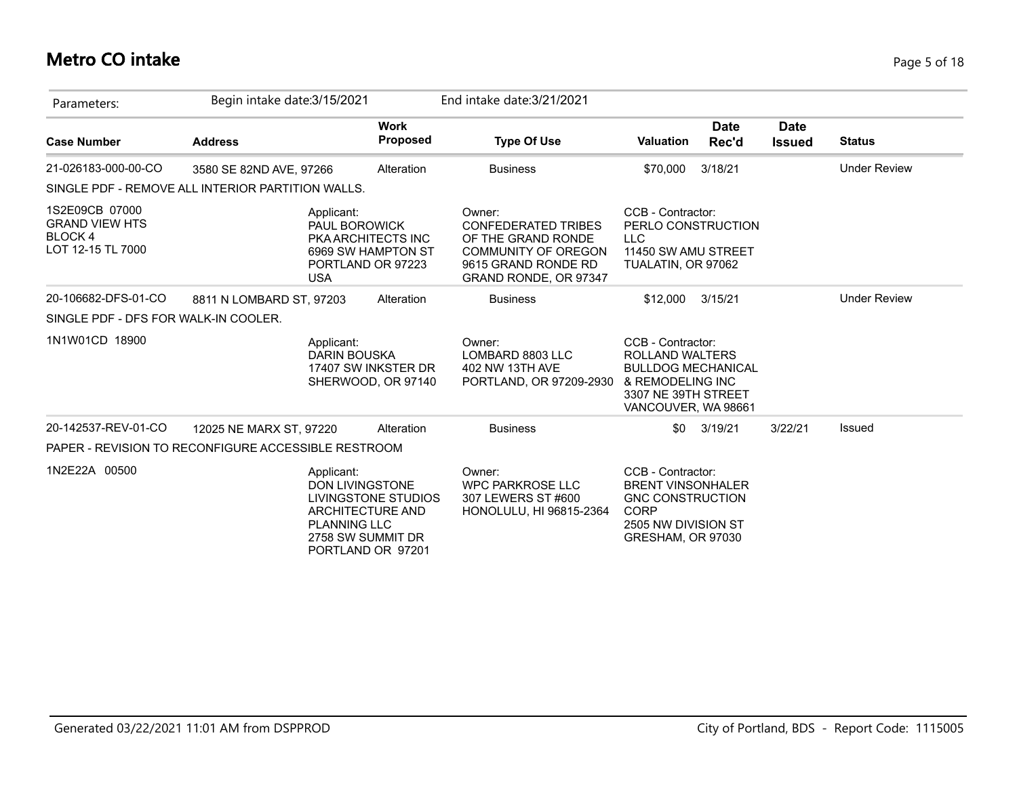# **Metro CO intake** Page 5 of 18

| Parameters:                                                             | Begin intake date: 3/15/2021                        |                                                                                                                                           | End intake date: 3/21/2021                                                                                                               |                                                                                                                                            |                      |                              |                     |
|-------------------------------------------------------------------------|-----------------------------------------------------|-------------------------------------------------------------------------------------------------------------------------------------------|------------------------------------------------------------------------------------------------------------------------------------------|--------------------------------------------------------------------------------------------------------------------------------------------|----------------------|------------------------------|---------------------|
| <b>Case Number</b>                                                      | <b>Address</b>                                      | <b>Work</b><br><b>Proposed</b>                                                                                                            | <b>Type Of Use</b>                                                                                                                       | <b>Valuation</b>                                                                                                                           | <b>Date</b><br>Rec'd | <b>Date</b><br><b>Issued</b> | <b>Status</b>       |
| 21-026183-000-00-CO                                                     | 3580 SE 82ND AVE, 97266                             | Alteration                                                                                                                                | <b>Business</b>                                                                                                                          | \$70,000                                                                                                                                   | 3/18/21              |                              | <b>Under Review</b> |
|                                                                         | SINGLE PDF - REMOVE ALL INTERIOR PARTITION WALLS.   |                                                                                                                                           |                                                                                                                                          |                                                                                                                                            |                      |                              |                     |
| 1S2E09CB 07000<br><b>GRAND VIEW HTS</b><br>BLOCK 4<br>LOT 12-15 TL 7000 | Applicant:<br><b>USA</b>                            | PAUL BOROWICK<br>PKA ARCHITECTS INC<br>6969 SW HAMPTON ST<br>PORTLAND OR 97223                                                            | Owner:<br><b>CONFEDERATED TRIBES</b><br>OF THE GRAND RONDE<br><b>COMMUNITY OF OREGON</b><br>9615 GRAND RONDE RD<br>GRAND RONDE, OR 97347 | CCB - Contractor:<br>PERLO CONSTRUCTION<br><b>LLC</b><br>11450 SW AMU STREET<br>TUALATIN, OR 97062                                         |                      |                              |                     |
| 20-106682-DFS-01-CO                                                     | 8811 N LOMBARD ST, 97203                            | Alteration                                                                                                                                | <b>Business</b>                                                                                                                          | \$12,000                                                                                                                                   | 3/15/21              |                              | <b>Under Review</b> |
| SINGLE PDF - DFS FOR WALK-IN COOLER.                                    |                                                     |                                                                                                                                           |                                                                                                                                          |                                                                                                                                            |                      |                              |                     |
| 1N1W01CD 18900                                                          | Applicant:                                          | <b>DARIN BOUSKA</b><br>17407 SW INKSTER DR<br>SHERWOOD, OR 97140                                                                          | Owner:<br>LOMBARD 8803 LLC<br>402 NW 13TH AVE<br>PORTLAND, OR 97209-2930                                                                 | CCB - Contractor:<br><b>ROLLAND WALTERS</b><br><b>BULLDOG MECHANICAL</b><br>& REMODELING INC<br>3307 NE 39TH STREET<br>VANCOUVER, WA 98661 |                      |                              |                     |
| 20-142537-REV-01-CO                                                     | 12025 NE MARX ST, 97220                             | Alteration                                                                                                                                | <b>Business</b>                                                                                                                          | \$0                                                                                                                                        | 3/19/21              | 3/22/21                      | Issued              |
|                                                                         | PAPER - REVISION TO RECONFIGURE ACCESSIBLE RESTROOM |                                                                                                                                           |                                                                                                                                          |                                                                                                                                            |                      |                              |                     |
| 1N2E22A 00500                                                           | Applicant:                                          | <b>DON LIVINGSTONE</b><br>LIVINGSTONE STUDIOS<br><b>ARCHITECTURE AND</b><br><b>PLANNING LLC</b><br>2758 SW SUMMIT DR<br>PORTLAND OR 97201 | Owner:<br><b>WPC PARKROSE LLC</b><br>307 LEWERS ST #600<br>HONOLULU, HI 96815-2364                                                       | CCB - Contractor:<br><b>BRENT VINSONHALER</b><br><b>GNC CONSTRUCTION</b><br><b>CORP</b><br>2505 NW DIVISION ST<br>GRESHAM, OR 97030        |                      |                              |                     |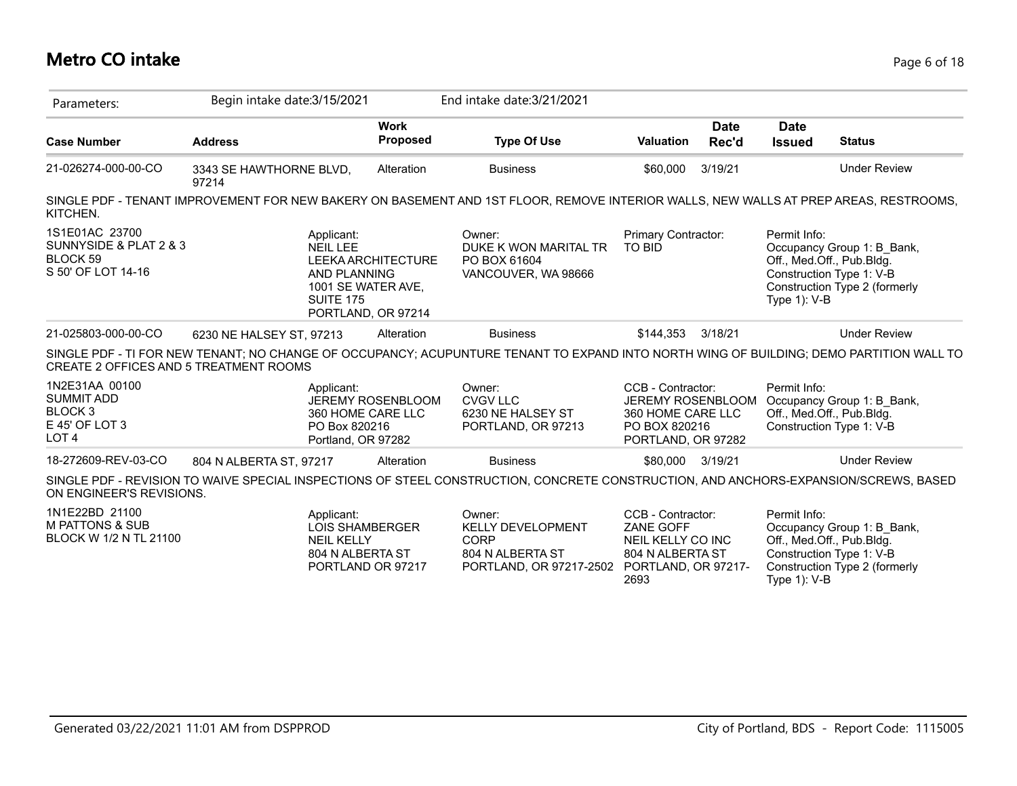# **Metro CO intake** Page 6 of 18

| Parameters:                                                                                     | Begin intake date: 3/15/2021                                                                                                            |                                                                | End intake date: 3/21/2021                                                                |                                                                                                        |                      |                                                              |                                                                                         |
|-------------------------------------------------------------------------------------------------|-----------------------------------------------------------------------------------------------------------------------------------------|----------------------------------------------------------------|-------------------------------------------------------------------------------------------|--------------------------------------------------------------------------------------------------------|----------------------|--------------------------------------------------------------|-----------------------------------------------------------------------------------------|
| <b>Case Number</b>                                                                              | <b>Address</b>                                                                                                                          | <b>Work</b><br><b>Proposed</b>                                 | <b>Type Of Use</b>                                                                        | <b>Valuation</b>                                                                                       | <b>Date</b><br>Rec'd | <b>Date</b><br><b>Issued</b>                                 | <b>Status</b>                                                                           |
| 21-026274-000-00-CO                                                                             | 3343 SE HAWTHORNE BLVD,<br>97214                                                                                                        | Alteration                                                     | <b>Business</b>                                                                           | \$60,000                                                                                               | 3/19/21              |                                                              | <b>Under Review</b>                                                                     |
| KITCHEN.                                                                                        | SINGLE PDF - TENANT IMPROVEMENT FOR NEW BAKERY ON BASEMENT AND 1ST FLOOR, REMOVE INTERIOR WALLS, NEW WALLS AT PREP AREAS, RESTROOMS,    |                                                                |                                                                                           |                                                                                                        |                      |                                                              |                                                                                         |
| 1S1E01AC 23700<br>SUNNYSIDE & PLAT 2 & 3<br>BLOCK <sub>59</sub><br>S 50' OF LOT 14-16           | Applicant:<br><b>NEIL LEE</b><br><b>AND PLANNING</b><br><b>SUITE 175</b>                                                                | LEEKA ARCHITECTURE<br>1001 SE WATER AVE,<br>PORTLAND, OR 97214 | Owner:<br>DUKE K WON MARITAL TR<br>PO BOX 61604<br>VANCOUVER, WA 98666                    | Primary Contractor:<br><b>TO BID</b>                                                                   |                      | Permit Info:<br>Off., Med.Off., Pub.Bldg.<br>Type 1): V-B    | Occupancy Group 1: B Bank,<br>Construction Type 1: V-B<br>Construction Type 2 (formerly |
| 21-025803-000-00-CO                                                                             | 6230 NE HALSEY ST, 97213                                                                                                                | Alteration                                                     | <b>Business</b>                                                                           | \$144.353                                                                                              | 3/18/21              |                                                              | <b>Under Review</b>                                                                     |
| CREATE 2 OFFICES AND 5 TREATMENT ROOMS                                                          | SINGLE PDF - TI FOR NEW TENANT; NO CHANGE OF OCCUPANCY; ACUPUNTURE TENANT TO EXPAND INTO NORTH WING OF BUILDING; DEMO PARTITION WALL TO |                                                                |                                                                                           |                                                                                                        |                      |                                                              |                                                                                         |
| 1N2E31AA 00100<br><b>SUMMIT ADD</b><br>BLOCK <sub>3</sub><br>E 45' OF LOT 3<br>LOT <sub>4</sub> | Applicant:<br>PO Box 820216<br>Portland, OR 97282                                                                                       | <b>JEREMY ROSENBLOOM</b><br>360 HOME CARE LLC                  | Owner:<br><b>CVGV LLC</b><br>6230 NE HALSEY ST<br>PORTLAND, OR 97213                      | CCB - Contractor:<br>JEREMY ROSENBLOOM<br>360 HOME CARE LLC<br>PO BOX 820216<br>PORTLAND, OR 97282     |                      | Permit Info:<br>Off., Med.Off., Pub.Bldg.                    | Occupancy Group 1: B Bank,<br>Construction Type 1: V-B                                  |
| 18-272609-REV-03-CO                                                                             | 804 N ALBERTA ST, 97217                                                                                                                 | Alteration                                                     | <b>Business</b>                                                                           | \$80,000                                                                                               | 3/19/21              |                                                              | <b>Under Review</b>                                                                     |
| ON ENGINEER'S REVISIONS.                                                                        | SINGLE PDF - REVISION TO WAIVE SPECIAL INSPECTIONS OF STEEL CONSTRUCTION, CONCRETE CONSTRUCTION, AND ANCHORS-EXPANSION/SCREWS, BASED    |                                                                |                                                                                           |                                                                                                        |                      |                                                              |                                                                                         |
| 1N1E22BD 21100<br><b>M PATTONS &amp; SUB</b><br>BLOCK W 1/2 N TL 21100                          | Applicant:<br><b>NEIL KELLY</b><br>804 N ALBERTA ST                                                                                     | <b>LOIS SHAMBERGER</b><br>PORTLAND OR 97217                    | Owner:<br><b>KELLY DEVELOPMENT</b><br>CORP<br>804 N ALBERTA ST<br>PORTLAND, OR 97217-2502 | CCB - Contractor:<br>ZANE GOFF<br>NEIL KELLY CO INC<br>804 N ALBERTA ST<br>PORTLAND, OR 97217-<br>2693 |                      | Permit Info:<br>Off., Med.Off., Pub.Bldg.<br>Type $1$ ): V-B | Occupancy Group 1: B_Bank,<br>Construction Type 1: V-B<br>Construction Type 2 (formerly |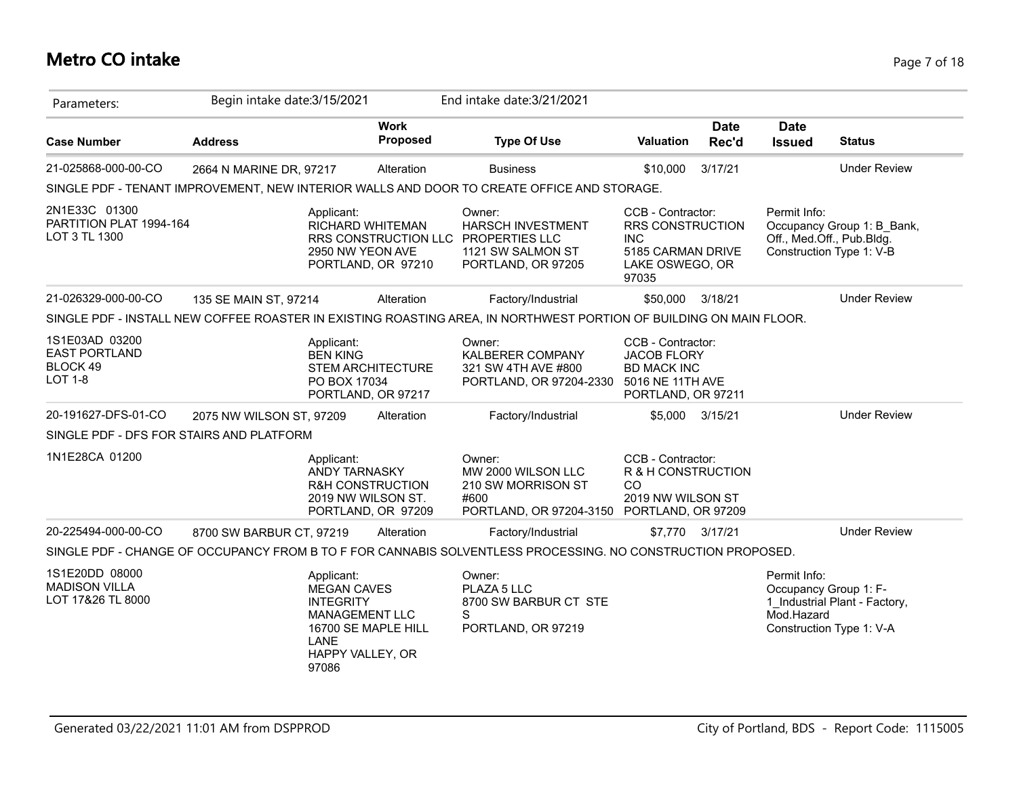# **Metro CO intake** Page 7 of 18

| Parameters:                                                          | Begin intake date: 3/15/2021 |                                                                                                                                           |                                                   | End intake date: 3/21/2021                                                                                         |                                                                                                         |                      |                                                     |                                                                                     |
|----------------------------------------------------------------------|------------------------------|-------------------------------------------------------------------------------------------------------------------------------------------|---------------------------------------------------|--------------------------------------------------------------------------------------------------------------------|---------------------------------------------------------------------------------------------------------|----------------------|-----------------------------------------------------|-------------------------------------------------------------------------------------|
| <b>Case Number</b>                                                   | <b>Address</b>               |                                                                                                                                           | <b>Work</b><br>Proposed                           | <b>Type Of Use</b>                                                                                                 | <b>Valuation</b>                                                                                        | <b>Date</b><br>Rec'd | <b>Date</b><br><b>Issued</b>                        | <b>Status</b>                                                                       |
| 21-025868-000-00-CO                                                  | 2664 N MARINE DR, 97217      |                                                                                                                                           | Alteration                                        | <b>Business</b>                                                                                                    | \$10,000                                                                                                | 3/17/21              |                                                     | <b>Under Review</b>                                                                 |
|                                                                      |                              |                                                                                                                                           |                                                   | SINGLE PDF - TENANT IMPROVEMENT, NEW INTERIOR WALLS AND DOOR TO CREATE OFFICE AND STORAGE.                         |                                                                                                         |                      |                                                     |                                                                                     |
| 2N1E33C 01300<br>PARTITION PLAT 1994-164<br>LOT 3 TL 1300            |                              | Applicant:<br>RICHARD WHITEMAN<br>2950 NW YEON AVE                                                                                        | RRS CONSTRUCTION LLC<br>PORTLAND, OR 97210        | Owner:<br><b>HARSCH INVESTMENT</b><br><b>PROPERTIES LLC</b><br>1121 SW SALMON ST<br>PORTLAND, OR 97205             | CCB - Contractor:<br>RRS CONSTRUCTION<br><b>INC</b><br>5185 CARMAN DRIVE<br>LAKE OSWEGO, OR<br>97035    |                      | Permit Info:                                        | Occupancy Group 1: B Bank,<br>Off., Med.Off., Pub.Bldg.<br>Construction Type 1: V-B |
| 21-026329-000-00-CO                                                  | 135 SE MAIN ST, 97214        |                                                                                                                                           | Alteration                                        | Factory/Industrial                                                                                                 | \$50,000                                                                                                | 3/18/21              |                                                     | <b>Under Review</b>                                                                 |
|                                                                      |                              |                                                                                                                                           |                                                   | SINGLE PDF - INSTALL NEW COFFEE ROASTER IN EXISTING ROASTING AREA, IN NORTHWEST PORTION OF BUILDING ON MAIN FLOOR. |                                                                                                         |                      |                                                     |                                                                                     |
| 1S1E03AD 03200<br><b>EAST PORTLAND</b><br>BLOCK 49<br><b>LOT 1-8</b> |                              | Applicant:<br><b>BEN KING</b><br>PO BOX 17034                                                                                             | <b>STEM ARCHITECTURE</b><br>PORTLAND, OR 97217    | Owner:<br>KALBERER COMPANY<br>321 SW 4TH AVE #800<br>PORTLAND, OR 97204-2330                                       | CCB - Contractor:<br><b>JACOB FLORY</b><br><b>BD MACK INC</b><br>5016 NE 11TH AVE<br>PORTLAND, OR 97211 |                      |                                                     |                                                                                     |
| 20-191627-DFS-01-CO                                                  | 2075 NW WILSON ST, 97209     |                                                                                                                                           | Alteration                                        | Factory/Industrial                                                                                                 | \$5.000                                                                                                 | 3/15/21              |                                                     | <b>Under Review</b>                                                                 |
| SINGLE PDF - DFS FOR STAIRS AND PLATFORM                             |                              |                                                                                                                                           |                                                   |                                                                                                                    |                                                                                                         |                      |                                                     |                                                                                     |
| 1N1E28CA 01200                                                       |                              | Applicant:<br><b>ANDY TARNASKY</b><br>2019 NW WILSON ST.                                                                                  | <b>R&amp;H CONSTRUCTION</b><br>PORTLAND, OR 97209 | Owner:<br>MW 2000 WILSON LLC<br>210 SW MORRISON ST<br>#600<br>PORTLAND, OR 97204-3150                              | CCB - Contractor:<br>R & H CONSTRUCTION<br>CO.<br>2019 NW WILSON ST<br>PORTLAND, OR 97209               |                      |                                                     |                                                                                     |
| 20-225494-000-00-CO                                                  | 8700 SW BARBUR CT, 97219     |                                                                                                                                           | Alteration                                        | Factory/Industrial                                                                                                 |                                                                                                         | \$7,770 3/17/21      |                                                     | <b>Under Review</b>                                                                 |
|                                                                      |                              |                                                                                                                                           |                                                   | SINGLE PDF - CHANGE OF OCCUPANCY FROM B TO F FOR CANNABIS SOLVENTLESS PROCESSING. NO CONSTRUCTION PROPOSED.        |                                                                                                         |                      |                                                     |                                                                                     |
| 1S1E20DD 08000<br><b>MADISON VILLA</b><br>LOT 17&26 TL 8000          |                              | Applicant:<br><b>MEGAN CAVES</b><br><b>INTEGRITY</b><br><b>MANAGEMENT LLC</b><br>16700 SE MAPLE HILL<br>LANE<br>HAPPY VALLEY, OR<br>97086 |                                                   | Owner:<br>PLAZA 5 LLC<br>8700 SW BARBUR CT STE<br>S<br>PORTLAND, OR 97219                                          |                                                                                                         |                      | Permit Info:<br>Occupancy Group 1: F-<br>Mod.Hazard | 1 Industrial Plant - Factory,<br>Construction Type 1: V-A                           |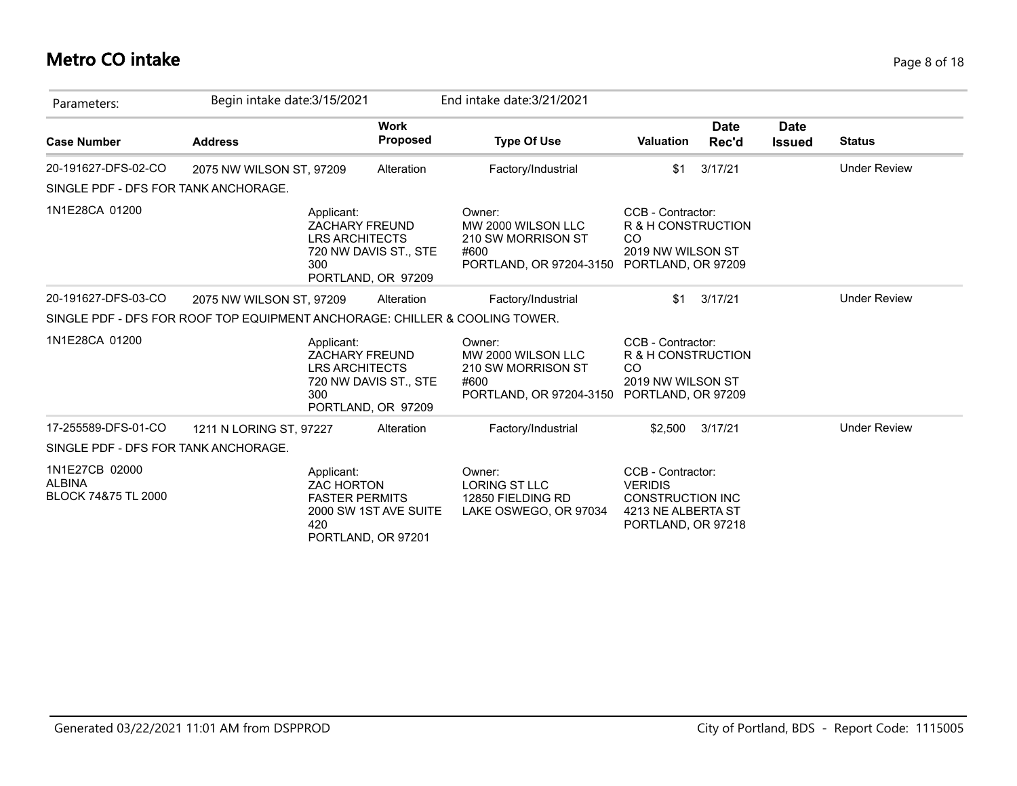### **Metro CO intake** Page 8 of 18

| Parameters:                                                                 | Begin intake date: 3/15/2021 |                                                                     |                                             | End intake date: 3/21/2021                                                                               |                                                                                                            |                      |                              |                     |
|-----------------------------------------------------------------------------|------------------------------|---------------------------------------------------------------------|---------------------------------------------|----------------------------------------------------------------------------------------------------------|------------------------------------------------------------------------------------------------------------|----------------------|------------------------------|---------------------|
| <b>Case Number</b>                                                          | <b>Address</b>               |                                                                     | <b>Work</b><br><b>Proposed</b>              | <b>Type Of Use</b>                                                                                       | <b>Valuation</b>                                                                                           | <b>Date</b><br>Rec'd | <b>Date</b><br><b>Issued</b> | <b>Status</b>       |
| 20-191627-DFS-02-CO                                                         | 2075 NW WILSON ST, 97209     |                                                                     | Alteration                                  | Factory/Industrial                                                                                       | \$1                                                                                                        | 3/17/21              |                              | <b>Under Review</b> |
| SINGLE PDF - DFS FOR TANK ANCHORAGE.                                        |                              |                                                                     |                                             |                                                                                                          |                                                                                                            |                      |                              |                     |
| 1N1E28CA 01200                                                              |                              | Applicant:<br><b>ZACHARY FREUND</b><br><b>LRS ARCHITECTS</b><br>300 | 720 NW DAVIS ST., STE<br>PORTLAND, OR 97209 | Owner:<br>MW 2000 WILSON LLC<br>210 SW MORRISON ST<br>#600<br>PORTLAND, OR 97204-3150 PORTLAND, OR 97209 | CCB - Contractor:<br>R & H CONSTRUCTION<br><sub>CO</sub><br>2019 NW WILSON ST                              |                      |                              |                     |
| 20-191627-DFS-03-CO                                                         | 2075 NW WILSON ST, 97209     |                                                                     | Alteration                                  | Factory/Industrial                                                                                       | \$1                                                                                                        | 3/17/21              |                              | <b>Under Review</b> |
| SINGLE PDF - DFS FOR ROOF TOP EQUIPMENT ANCHORAGE: CHILLER & COOLING TOWER. |                              |                                                                     |                                             |                                                                                                          |                                                                                                            |                      |                              |                     |
| 1N1E28CA 01200                                                              |                              | Applicant:<br><b>ZACHARY FREUND</b><br><b>LRS ARCHITECTS</b><br>300 | 720 NW DAVIS ST., STE<br>PORTLAND, OR 97209 | Owner:<br>MW 2000 WILSON LLC<br>210 SW MORRISON ST<br>#600<br>PORTLAND, OR 97204-3150                    | CCB - Contractor:<br>R & H CONSTRUCTION<br><sub>CO</sub><br>2019 NW WILSON ST<br>PORTLAND, OR 97209        |                      |                              |                     |
| 17-255589-DFS-01-CO                                                         | 1211 N LORING ST, 97227      |                                                                     | Alteration                                  | Factory/Industrial                                                                                       | \$2.500                                                                                                    | 3/17/21              |                              | <b>Under Review</b> |
| SINGLE PDF - DFS FOR TANK ANCHORAGE.                                        |                              |                                                                     |                                             |                                                                                                          |                                                                                                            |                      |                              |                     |
| 1N1E27CB 02000<br><b>ALBINA</b><br>BLOCK 74&75 TL 2000                      |                              | Applicant:<br><b>ZAC HORTON</b><br><b>FASTER PERMITS</b><br>420     | 2000 SW 1ST AVE SUITE<br>PORTLAND, OR 97201 | Owner:<br>LORING ST LLC<br>12850 FIELDING RD<br>LAKE OSWEGO, OR 97034                                    | CCB - Contractor:<br><b>VERIDIS</b><br><b>CONSTRUCTION INC</b><br>4213 NE ALBERTA ST<br>PORTLAND, OR 97218 |                      |                              |                     |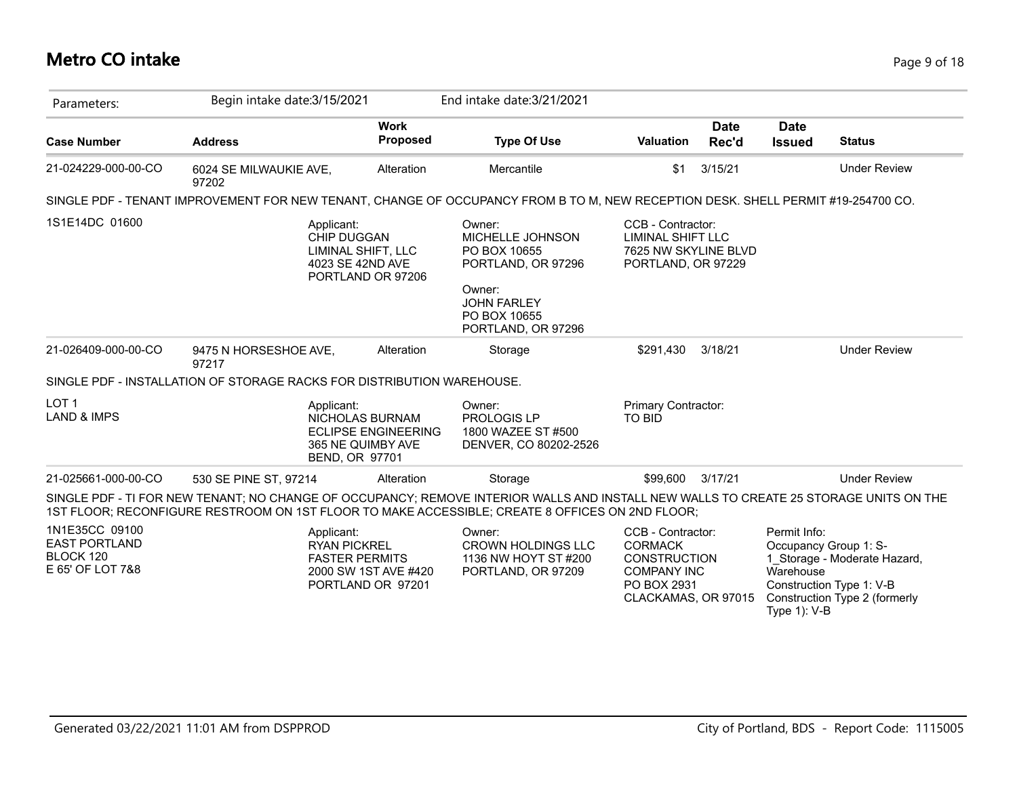# **Metro CO intake** Page 9 of 18

| Parameters:                                                             | Begin intake date: 3/15/2021                                                                                                                                                                                                             |                            | End intake date: 3/21/2021                                                                                                             |                                                                                                                        |                      |                                           |                                                                                                                    |
|-------------------------------------------------------------------------|------------------------------------------------------------------------------------------------------------------------------------------------------------------------------------------------------------------------------------------|----------------------------|----------------------------------------------------------------------------------------------------------------------------------------|------------------------------------------------------------------------------------------------------------------------|----------------------|-------------------------------------------|--------------------------------------------------------------------------------------------------------------------|
| <b>Case Number</b>                                                      | <b>Address</b>                                                                                                                                                                                                                           | <b>Work</b><br>Proposed    | <b>Type Of Use</b>                                                                                                                     | <b>Valuation</b>                                                                                                       | <b>Date</b><br>Rec'd | <b>Date</b><br><b>Issued</b>              | <b>Status</b>                                                                                                      |
| 21-024229-000-00-CO                                                     | 6024 SE MILWAUKIE AVE,<br>97202                                                                                                                                                                                                          | Alteration                 | Mercantile                                                                                                                             | \$1                                                                                                                    | 3/15/21              |                                           | <b>Under Review</b>                                                                                                |
|                                                                         | SINGLE PDF - TENANT IMPROVEMENT FOR NEW TENANT, CHANGE OF OCCUPANCY FROM B TO M, NEW RECEPTION DESK. SHELL PERMIT #19-254700 CO.                                                                                                         |                            |                                                                                                                                        |                                                                                                                        |                      |                                           |                                                                                                                    |
| 1S1E14DC 01600                                                          | Applicant:<br>CHIP DUGGAN<br>LIMINAL SHIFT, LLC<br>4023 SE 42ND AVE<br>PORTLAND OR 97206                                                                                                                                                 |                            | Owner:<br>MICHELLE JOHNSON<br>PO BOX 10655<br>PORTLAND, OR 97296<br>Owner:<br><b>JOHN FARLEY</b><br>PO BOX 10655<br>PORTLAND, OR 97296 | CCB - Contractor:<br><b>LIMINAL SHIFT LLC</b><br>7625 NW SKYLINE BLVD<br>PORTLAND, OR 97229                            |                      |                                           |                                                                                                                    |
| 21-026409-000-00-CO                                                     | 9475 N HORSESHOE AVE,<br>97217                                                                                                                                                                                                           | Alteration                 | Storage                                                                                                                                | \$291,430                                                                                                              | 3/18/21              |                                           | <b>Under Review</b>                                                                                                |
|                                                                         | SINGLE PDF - INSTALLATION OF STORAGE RACKS FOR DISTRIBUTION WAREHOUSE.                                                                                                                                                                   |                            |                                                                                                                                        |                                                                                                                        |                      |                                           |                                                                                                                    |
| LOT <sub>1</sub><br><b>LAND &amp; IMPS</b>                              | Applicant:<br>NICHOLAS BURNAM<br>365 NE QUIMBY AVE<br><b>BEND, OR 97701</b>                                                                                                                                                              | <b>ECLIPSE ENGINEERING</b> | Owner:<br><b>PROLOGIS LP</b><br>1800 WAZEE ST #500<br>DENVER, CO 80202-2526                                                            | Primary Contractor:<br><b>TO BID</b>                                                                                   |                      |                                           |                                                                                                                    |
| 21-025661-000-00-CO                                                     | 530 SE PINE ST, 97214                                                                                                                                                                                                                    | Alteration                 | Storage                                                                                                                                | \$99,600                                                                                                               | 3/17/21              |                                           | <b>Under Review</b>                                                                                                |
|                                                                         | SINGLE PDF - TI FOR NEW TENANT; NO CHANGE OF OCCUPANCY; REMOVE INTERIOR WALLS AND INSTALL NEW WALLS TO CREATE 25 STORAGE UNITS ON THE<br>1ST FLOOR; RECONFIGURE RESTROOM ON 1ST FLOOR TO MAKE ACCESSIBLE; CREATE 8 OFFICES ON 2ND FLOOR; |                            |                                                                                                                                        |                                                                                                                        |                      |                                           |                                                                                                                    |
| 1N1E35CC 09100<br><b>EAST PORTLAND</b><br>BLOCK 120<br>E 65' OF LOT 7&8 | Applicant:<br><b>RYAN PICKREL</b><br><b>FASTER PERMITS</b><br>PORTLAND OR 97201                                                                                                                                                          | 2000 SW 1ST AVE #420       | Owner:<br><b>CROWN HOLDINGS LLC</b><br>1136 NW HOYT ST #200<br>PORTLAND, OR 97209                                                      | CCB - Contractor:<br><b>CORMACK</b><br><b>CONSTRUCTION</b><br><b>COMPANY INC</b><br>PO BOX 2931<br>CLACKAMAS, OR 97015 |                      | Permit Info:<br>Warehouse<br>Type 1): V-B | Occupancy Group 1: S-<br>1_Storage - Moderate Hazard,<br>Construction Type 1: V-B<br>Construction Type 2 (formerly |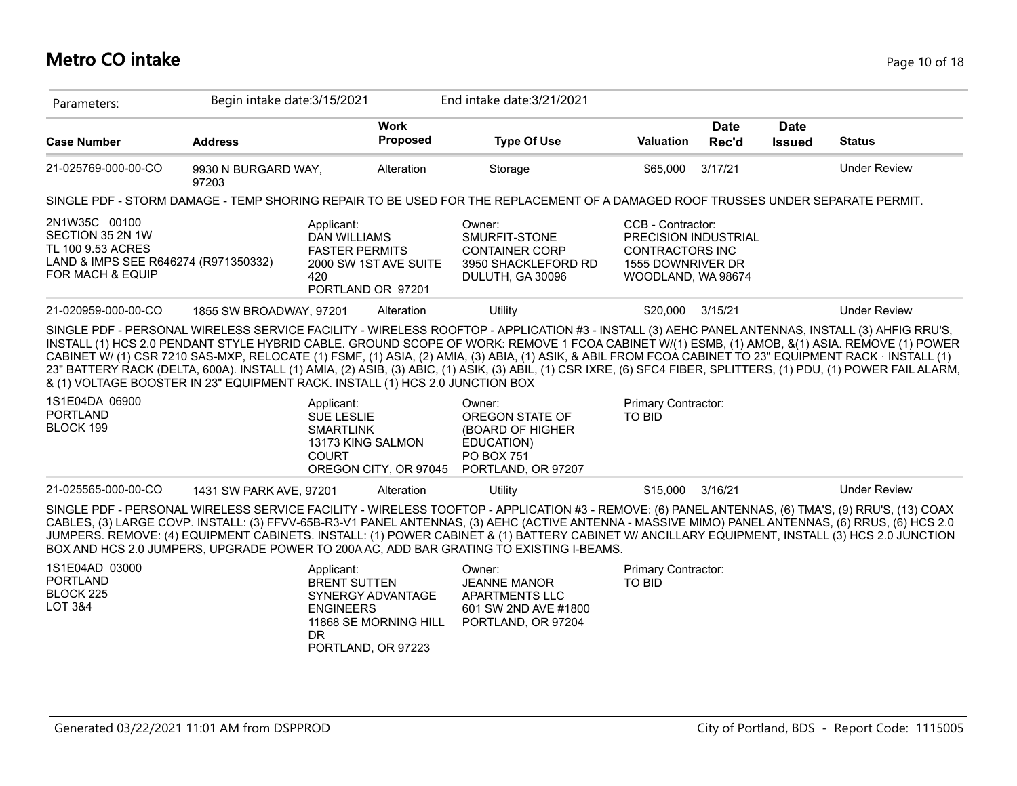#### **Metro CO intake** Page 10 of 18

| Parameters:                                                                                                                     | Begin intake date: 3/15/2021                                      |                                                                     |                                                                                             | End intake date: 3/21/2021                                                                                                                                                                                                                                                                                                                                                                                                                                                                                                                                                                                                                                                                                            |                                      |                      |                              |                     |
|---------------------------------------------------------------------------------------------------------------------------------|-------------------------------------------------------------------|---------------------------------------------------------------------|---------------------------------------------------------------------------------------------|-----------------------------------------------------------------------------------------------------------------------------------------------------------------------------------------------------------------------------------------------------------------------------------------------------------------------------------------------------------------------------------------------------------------------------------------------------------------------------------------------------------------------------------------------------------------------------------------------------------------------------------------------------------------------------------------------------------------------|--------------------------------------|----------------------|------------------------------|---------------------|
| <b>Case Number</b>                                                                                                              | <b>Address</b>                                                    |                                                                     | <b>Work</b><br><b>Proposed</b>                                                              | <b>Type Of Use</b>                                                                                                                                                                                                                                                                                                                                                                                                                                                                                                                                                                                                                                                                                                    | <b>Valuation</b>                     | <b>Date</b><br>Rec'd | <b>Date</b><br><b>Issued</b> | <b>Status</b>       |
| 21-025769-000-00-CO                                                                                                             | 9930 N BURGARD WAY,<br>97203                                      |                                                                     | Alteration                                                                                  | Storage                                                                                                                                                                                                                                                                                                                                                                                                                                                                                                                                                                                                                                                                                                               | \$65,000                             | 3/17/21              |                              | <b>Under Review</b> |
|                                                                                                                                 |                                                                   |                                                                     |                                                                                             | SINGLE PDF - STORM DAMAGE - TEMP SHORING REPAIR TO BE USED FOR THE REPLACEMENT OF A DAMAGED ROOF TRUSSES UNDER SEPARATE PERMIT.                                                                                                                                                                                                                                                                                                                                                                                                                                                                                                                                                                                       |                                      |                      |                              |                     |
| 2N1W35C 00100<br>SECTION 35 2N 1W<br>TL 100 9.53 ACRES<br>LAND & IMPS SEE R646274 (R971350332)<br>FOR MACH & EQUIP              | Applicant:<br><b>DAN WILLIAMS</b><br><b>FASTER PERMITS</b><br>420 | 2000 SW 1ST AVE SUITE<br>PORTLAND OR 97201                          | Owner:<br>SMURFIT-STONE<br><b>CONTAINER CORP</b><br>3950 SHACKLEFORD RD<br>DULUTH, GA 30096 | CCB - Contractor:<br>PRECISION INDUSTRIAL<br><b>CONTRACTORS INC</b><br>1555 DOWNRIVER DR<br>WOODLAND, WA 98674                                                                                                                                                                                                                                                                                                                                                                                                                                                                                                                                                                                                        |                                      |                      |                              |                     |
| 21-020959-000-00-CO                                                                                                             | 1855 SW BROADWAY, 97201                                           |                                                                     | Alteration                                                                                  | Utility                                                                                                                                                                                                                                                                                                                                                                                                                                                                                                                                                                                                                                                                                                               | \$20,000                             | 3/15/21              |                              | <b>Under Review</b> |
| & (1) VOLTAGE BOOSTER IN 23" EQUIPMENT RACK. INSTALL (1) HCS 2.0 JUNCTION BOX<br>1S1E04DA 06900<br><b>PORTLAND</b><br>BLOCK 199 |                                                                   | Applicant:<br><b>SUE LESLIE</b><br><b>SMARTLINK</b><br><b>COURT</b> | 13173 KING SALMON                                                                           | SINGLE PDF - PERSONAL WIRELESS SERVICE FACILITY - WIRELESS ROOFTOP - APPLICATION #3 - INSTALL (3) AEHC PANEL ANTENNAS, INSTALL (3) AHFIG RRU'S,<br>INSTALL (1) HCS 2.0 PENDANT STYLE HYBRID CABLE. GROUND SCOPE OF WORK: REMOVE 1 FCOA CABINET W/(1) ESMB, (1) AMOB, &(1) ASIA. REMOVE (1) POWER<br>CABINET W/ (1) CSR 7210 SAS-MXP, RELOCATE (1) FSMF, (1) ASIA, (2) AMIA, (3) ABIA, (1) ASIK, & ABIL FROM FCOA CABINET TO 23" EQUIPMENT RACK · INSTALL (1)<br>23" BATTERY RACK (DELTA, 600A). INSTALL (1) AMIA, (2) ASIB, (3) ABIC, (1) ASIK, (3) ABIL, (1) CSR IXRE, (6) SFC4 FIBER, SPLITTERS, (1) PDU, (1) POWER FAIL ALARM,<br>Owner:<br>OREGON STATE OF<br>(BOARD OF HIGHER<br>EDUCATION)<br><b>PO BOX 751</b> | Primary Contractor:<br><b>TO BID</b> |                      |                              |                     |
|                                                                                                                                 |                                                                   |                                                                     | OREGON CITY, OR 97045                                                                       | PORTLAND, OR 97207                                                                                                                                                                                                                                                                                                                                                                                                                                                                                                                                                                                                                                                                                                    |                                      |                      |                              |                     |
| 21-025565-000-00-CO                                                                                                             | 1431 SW PARK AVE, 97201                                           |                                                                     | Alteration                                                                                  | Utility                                                                                                                                                                                                                                                                                                                                                                                                                                                                                                                                                                                                                                                                                                               | \$15,000                             | 3/16/21              |                              | <b>Under Review</b> |
|                                                                                                                                 |                                                                   |                                                                     |                                                                                             | SINGLE PDF - PERSONAL WIRELESS SERVICE FACILITY - WIRELESS TOOFTOP - APPLICATION #3 - REMOVE: (6) PANEL ANTENNAS, (6) TMA'S, (9) RRU'S, (13) COAX<br>CABLES, (3) LARGE COVP. INSTALL: (3) FFVV-65B-R3-V1 PANEL ANTENNAS, (3) AEHC (ACTIVE ANTENNA - MASSIVE MIMO) PANEL ANTENNAS, (6) RRUS, (6) HCS 2.0<br>JUMPERS. REMOVE: (4) EQUIPMENT CABINETS. INSTALL: (1) POWER CABINET & (1) BATTERY CABINET W/ ANCILLARY EQUIPMENT, INSTALL (3) HCS 2.0 JUNCTION<br>BOX AND HCS 2.0 JUMPERS, UPGRADE POWER TO 200A AC, ADD BAR GRATING TO EXISTING I-BEAMS.                                                                                                                                                                  |                                      |                      |                              |                     |
| 1S1E04AD 03000<br><b>PORTLAND</b><br>BLOCK 225<br><b>LOT 3&amp;4</b>                                                            |                                                                   | Applicant:<br><b>BRENT SUTTEN</b><br><b>ENGINEERS</b><br><b>DR</b>  | SYNERGY ADVANTAGE<br>11868 SE MORNING HILL<br>PORTLAND, OR 97223                            | Owner:<br><b>JEANNE MANOR</b><br>APARTMENTS LLC<br>601 SW 2ND AVE #1800<br>PORTLAND, OR 97204                                                                                                                                                                                                                                                                                                                                                                                                                                                                                                                                                                                                                         | Primary Contractor:<br><b>TO BID</b> |                      |                              |                     |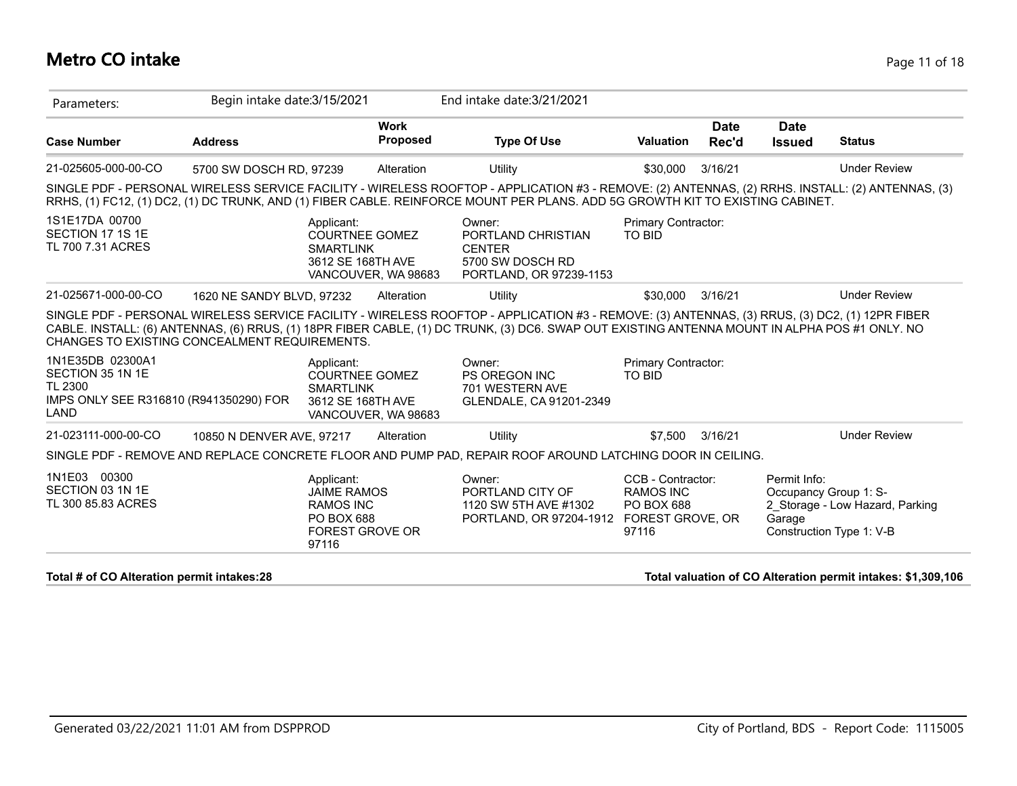#### **Metro CO intake** Page 11 of 18

| Parameters:                                                                                              | Begin intake date: 3/15/2021 |                                                                              |                                | End intake date: 3/21/2021                                                                                                                                                                                                                                                                     |                                       |                      |                                       |                     |
|----------------------------------------------------------------------------------------------------------|------------------------------|------------------------------------------------------------------------------|--------------------------------|------------------------------------------------------------------------------------------------------------------------------------------------------------------------------------------------------------------------------------------------------------------------------------------------|---------------------------------------|----------------------|---------------------------------------|---------------------|
| <b>Case Number</b>                                                                                       | <b>Address</b>               |                                                                              | <b>Work</b><br><b>Proposed</b> | <b>Type Of Use</b>                                                                                                                                                                                                                                                                             | <b>Valuation</b>                      | <b>Date</b><br>Rec'd | <b>Date</b><br><b>Issued</b>          | <b>Status</b>       |
| 21-025605-000-00-CO                                                                                      | 5700 SW DOSCH RD, 97239      |                                                                              | Alteration                     | Utility                                                                                                                                                                                                                                                                                        | \$30,000                              | 3/16/21              |                                       | <b>Under Review</b> |
|                                                                                                          |                              |                                                                              |                                | SINGLE PDF - PERSONAL WIRELESS SERVICE FACILITY - WIRELESS ROOFTOP - APPLICATION #3 - REMOVE: (2) ANTENNAS, (2) RRHS. INSTALL: (2) ANTENNAS, (3)<br>RRHS, (1) FC12, (1) DC2, (1) DC TRUNK, AND (1) FIBER CABLE. REINFORCE MOUNT PER PLANS. ADD 5G GROWTH KIT TO EXISTING CABINET.              |                                       |                      |                                       |                     |
| 1S1E17DA 00700<br>SECTION 17 1S 1E<br>TL 700 7.31 ACRES                                                  |                              | Applicant:<br><b>COURTNEE GOMEZ</b><br><b>SMARTLINK</b><br>3612 SE 168TH AVE | VANCOUVER, WA 98683            | Owner:<br>PORTLAND CHRISTIAN<br><b>CENTER</b><br>5700 SW DOSCH RD<br>PORTLAND, OR 97239-1153                                                                                                                                                                                                   | Primary Contractor:<br><b>TO BID</b>  |                      |                                       |                     |
| 21-025671-000-00-CO                                                                                      | 1620 NE SANDY BLVD, 97232    |                                                                              | Alteration                     | Utility                                                                                                                                                                                                                                                                                        | \$30,000                              | 3/16/21              |                                       | <b>Under Review</b> |
| CHANGES TO EXISTING CONCEALMENT REQUIREMENTS.                                                            |                              |                                                                              |                                | SINGLE PDF - PERSONAL WIRELESS SERVICE FACILITY - WIRELESS ROOFTOP - APPLICATION #3 - REMOVE: (3) ANTENNAS, (3) RRUS, (3) DC2, (1) 12PR FIBER<br>CABLE. INSTALL: (6) ANTENNAS, (6) RRUS, (1) 18PR FIBER CABLE, (1) DC TRUNK, (3) DC6. SWAP OUT EXISTING ANTENNA MOUNT IN ALPHA POS #1 ONLY. NO |                                       |                      |                                       |                     |
| 1N1E35DB 02300A1<br>SECTION 35 1N 1E<br>TL 2300<br>IMPS ONLY SEE R316810 (R941350290) FOR<br><b>LAND</b> |                              | Applicant:<br><b>COURTNEE GOMEZ</b><br><b>SMARTLINK</b><br>3612 SE 168TH AVE | VANCOUVER, WA 98683            | Owner:<br><b>PS OREGON INC</b><br>701 WESTERN AVE<br>GLENDALE, CA 91201-2349                                                                                                                                                                                                                   | Primary Contractor:<br><b>TO BID</b>  |                      |                                       |                     |
| 21-023111-000-00-CO                                                                                      | 10850 N DENVER AVE, 97217    |                                                                              | Alteration                     | Utility                                                                                                                                                                                                                                                                                        | \$7,500                               | 3/16/21              |                                       | <b>Under Review</b> |
|                                                                                                          |                              |                                                                              |                                | SINGLE PDF - REMOVE AND REPLACE CONCRETE FLOOR AND PUMP PAD, REPAIR ROOF AROUND LATCHING DOOR IN CEILING.                                                                                                                                                                                      |                                       |                      |                                       |                     |
| 1N1E03 00300<br>SECTION 03 1N 1E                                                                         |                              | Applicant:<br><b>JAIME RAMOS</b>                                             |                                | Owner:<br>PORTLAND CITY OF                                                                                                                                                                                                                                                                     | CCB - Contractor:<br><b>RAMOS INC</b> |                      | Permit Info:<br>Occupancy Group 1: S- |                     |

**Total # of CO Alteration permit intakes:28 Total valuation of CO Alteration permit intakes: \$1,309,106**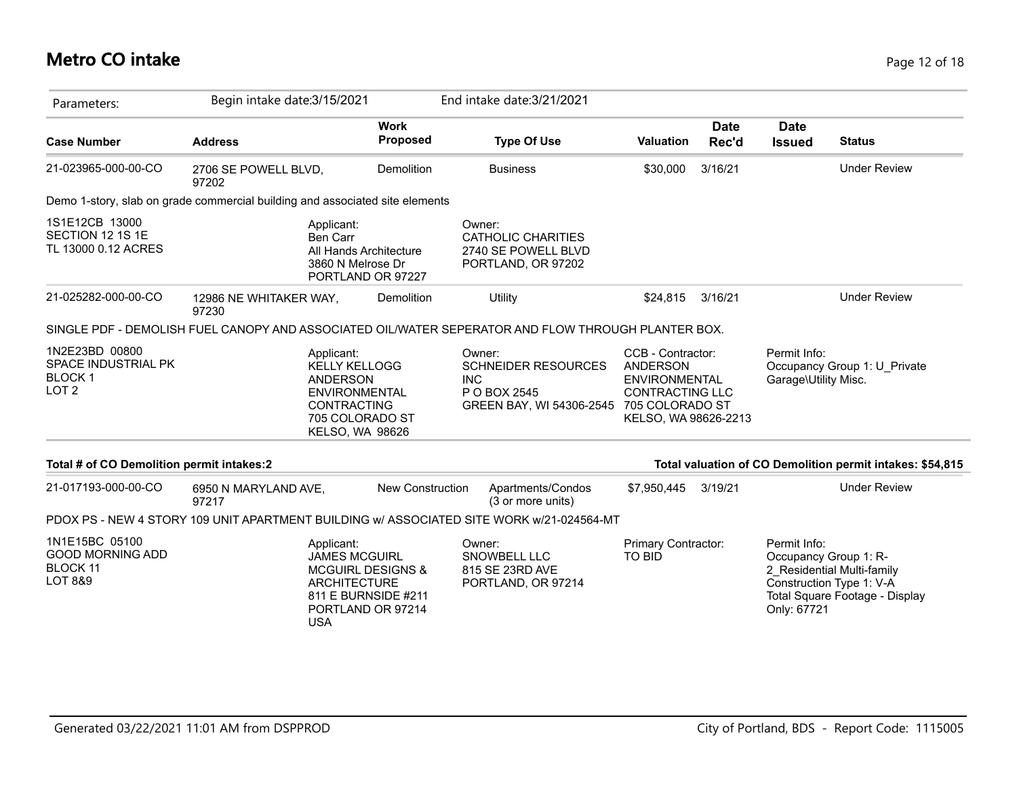### **Metro CO intake** Page 12 of 18

| Parameters:                                                                                        | Begin intake date: 3/15/2021                                                                                                                        |                                                                                            |                         |                                                                                                                                                                                                                              | End intake date: 3/21/2021                                             |                  |                                                                                  |                                                              |                                                           |
|----------------------------------------------------------------------------------------------------|-----------------------------------------------------------------------------------------------------------------------------------------------------|--------------------------------------------------------------------------------------------|-------------------------|------------------------------------------------------------------------------------------------------------------------------------------------------------------------------------------------------------------------------|------------------------------------------------------------------------|------------------|----------------------------------------------------------------------------------|--------------------------------------------------------------|-----------------------------------------------------------|
| <b>Case Number</b>                                                                                 | <b>Address</b>                                                                                                                                      |                                                                                            | <b>Work</b><br>Proposed |                                                                                                                                                                                                                              | <b>Type Of Use</b>                                                     | <b>Valuation</b> | Date<br>Rec'd                                                                    | <b>Date</b><br><b>Issued</b>                                 | <b>Status</b>                                             |
| 21-023965-000-00-CO                                                                                | 2706 SE POWELL BLVD,<br>97202                                                                                                                       |                                                                                            | Demolition              |                                                                                                                                                                                                                              | <b>Business</b>                                                        | \$30,000         | 3/16/21                                                                          |                                                              | <b>Under Review</b>                                       |
| Demo 1-story, slab on grade commercial building and associated site elements                       |                                                                                                                                                     |                                                                                            |                         |                                                                                                                                                                                                                              |                                                                        |                  |                                                                                  |                                                              |                                                           |
| 1S1E12CB 13000<br>SECTION 12 1S 1E<br>TL 13000 0.12 ACRES                                          |                                                                                                                                                     | Applicant:<br>Ben Carr<br>All Hands Architecture<br>3860 N Melrose Dr<br>PORTLAND OR 97227 |                         | Owner:                                                                                                                                                                                                                       | <b>CATHOLIC CHARITIES</b><br>2740 SE POWELL BLVD<br>PORTLAND, OR 97202 |                  |                                                                                  |                                                              |                                                           |
| 21-025282-000-00-CO                                                                                | 12986 NE WHITAKER WAY,<br>97230                                                                                                                     |                                                                                            | Demolition              |                                                                                                                                                                                                                              | Utility                                                                | \$24,815         | 3/16/21                                                                          |                                                              | <b>Under Review</b>                                       |
| SINGLE PDF - DEMOLISH FUEL CANOPY AND ASSOCIATED OIL/WATER SEPERATOR AND FLOW THROUGH PLANTER BOX. |                                                                                                                                                     |                                                                                            |                         |                                                                                                                                                                                                                              |                                                                        |                  |                                                                                  |                                                              |                                                           |
| 1N2E23BD 00800<br>SPACE INDUSTRIAL PK<br><b>BLOCK1</b><br>LOT <sub>2</sub>                         | Applicant:<br><b>KELLY KELLOGG</b><br><b>ANDERSON</b><br><b>ENVIRONMENTAL</b><br>CONTRACTING<br>705 COLORADO ST<br><b>KELSO, WA 98626</b>           |                                                                                            |                         | CCB - Contractor:<br>Owner:<br><b>SCHNEIDER RESOURCES</b><br>ANDERSON<br><b>INC</b><br><b>ENVIRONMENTAL</b><br>P O BOX 2545<br><b>CONTRACTING LLC</b><br>705 COLORADO ST<br>GREEN BAY, WI 54306-2545<br>KELSO, WA 98626-2213 |                                                                        |                  | Permit Info:<br>Garage\Utility Misc.                                             | Occupancy Group 1: U_Private                                 |                                                           |
| Total # of CO Demolition permit intakes:2                                                          |                                                                                                                                                     |                                                                                            |                         |                                                                                                                                                                                                                              |                                                                        |                  |                                                                                  |                                                              | Total valuation of CO Demolition permit intakes: \$54,815 |
| 21-017193-000-00-CO                                                                                | 6950 N MARYLAND AVE,<br>97217                                                                                                                       |                                                                                            | <b>New Construction</b> |                                                                                                                                                                                                                              | Apartments/Condos<br>(3 or more units)                                 | \$7,950,445      | 3/19/21                                                                          |                                                              | <b>Under Review</b>                                       |
| PDOX PS - NEW 4 STORY 109 UNIT APARTMENT BUILDING w/ ASSOCIATED SITE WORK w/21-024564-MT           |                                                                                                                                                     |                                                                                            |                         |                                                                                                                                                                                                                              |                                                                        |                  |                                                                                  |                                                              |                                                           |
| 1N1E15BC 05100<br><b>GOOD MORNING ADD</b><br><b>BLOCK 11</b><br><b>LOT 8&amp;9</b>                 | Applicant:<br><b>JAMES MCGUIRL</b><br><b>MCGUIRL DESIGNS &amp;</b><br><b>ARCHITECTURE</b><br>811 E BURNSIDE #211<br>PORTLAND OR 97214<br><b>USA</b> |                                                                                            | Owner:                  | SNOWBELL LLC<br>815 SE 23RD AVE<br>PORTLAND, OR 97214                                                                                                                                                                        | Primary Contractor:<br><b>TO BID</b>                                   |                  | Permit Info:<br>Occupancy Group 1: R-<br>Construction Type 1: V-A<br>Only: 67721 | 2 Residential Multi-family<br>Total Square Footage - Display |                                                           |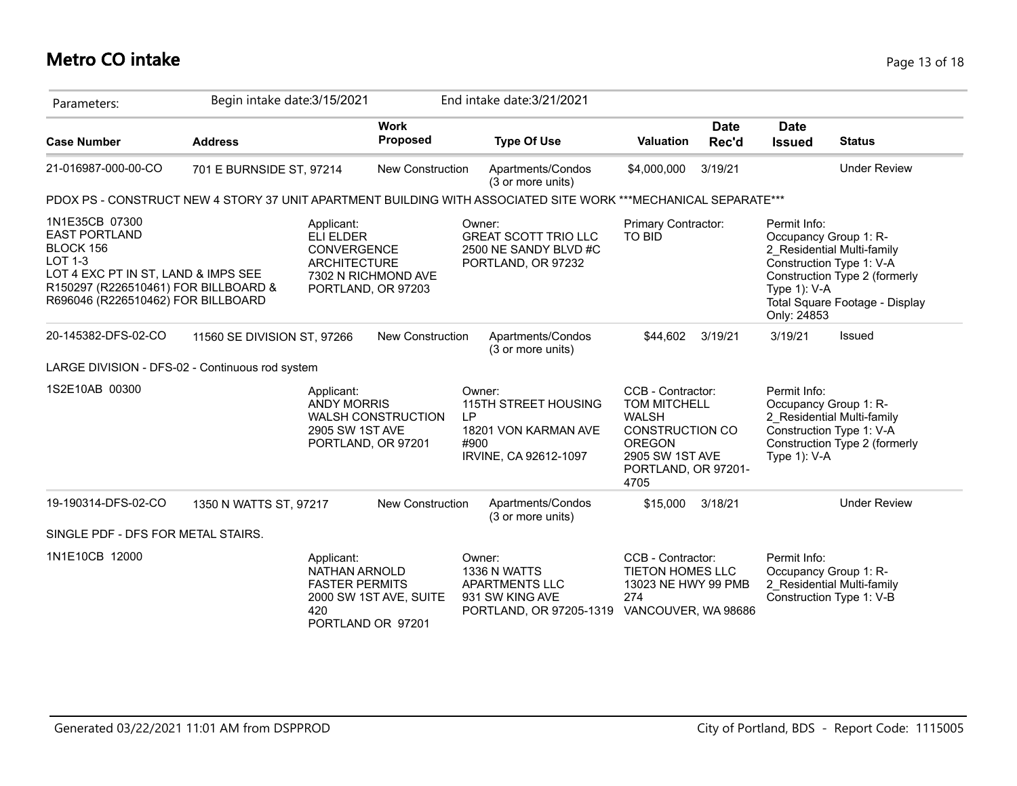#### **Metro CO intake** Page 13 of 18

| Parameters:                                                                                                                                                                         | Begin intake date: 3/15/2021 |                                                                                                                          |             | End intake date: 3/21/2021                                                                                     |                                                                                                                                                |                      |                                                                      |                                                                                                                           |
|-------------------------------------------------------------------------------------------------------------------------------------------------------------------------------------|------------------------------|--------------------------------------------------------------------------------------------------------------------------|-------------|----------------------------------------------------------------------------------------------------------------|------------------------------------------------------------------------------------------------------------------------------------------------|----------------------|----------------------------------------------------------------------|---------------------------------------------------------------------------------------------------------------------------|
| <b>Case Number</b>                                                                                                                                                                  | <b>Address</b>               | <b>Work</b><br><b>Proposed</b>                                                                                           |             | <b>Type Of Use</b>                                                                                             | <b>Valuation</b>                                                                                                                               | <b>Date</b><br>Rec'd | <b>Date</b><br><b>Issued</b>                                         | <b>Status</b>                                                                                                             |
| 21-016987-000-00-CO                                                                                                                                                                 | 701 E BURNSIDE ST, 97214     | New Construction                                                                                                         |             | Apartments/Condos<br>(3 or more units)                                                                         | \$4,000,000                                                                                                                                    | 3/19/21              |                                                                      | <b>Under Review</b>                                                                                                       |
|                                                                                                                                                                                     |                              |                                                                                                                          |             | PDOX PS - CONSTRUCT NEW 4 STORY 37 UNIT APARTMENT BUILDING WITH ASSOCIATED SITE WORK ***MECHANICAL SEPARATE*** |                                                                                                                                                |                      |                                                                      |                                                                                                                           |
| 1N1E35CB 07300<br><b>EAST PORTLAND</b><br>BLOCK 156<br>LOT 1-3<br>LOT 4 EXC PT IN ST, LAND & IMPS SEE<br>R150297 (R226510461) FOR BILLBOARD &<br>R696046 (R226510462) FOR BILLBOARD |                              | Applicant:<br><b>ELI ELDER</b><br><b>CONVERGENCE</b><br><b>ARCHITECTURE</b><br>7302 N RICHMOND AVE<br>PORTLAND, OR 97203 |             | Owner:<br><b>GREAT SCOTT TRIO LLC</b><br>2500 NE SANDY BLVD #C<br>PORTLAND, OR 97232                           | Primary Contractor:<br><b>TO BID</b>                                                                                                           |                      | Permit Info:<br>Occupancy Group 1: R-<br>Type 1): V-A<br>Only: 24853 | 2 Residential Multi-family<br>Construction Type 1: V-A<br>Construction Type 2 (formerly<br>Total Square Footage - Display |
| 20-145382-DFS-02-CO                                                                                                                                                                 | 11560 SE DIVISION ST, 97266  | <b>New Construction</b>                                                                                                  |             | Apartments/Condos<br>(3 or more units)                                                                         | \$44,602                                                                                                                                       | 3/19/21              | 3/19/21                                                              | Issued                                                                                                                    |
| LARGE DIVISION - DFS-02 - Continuous rod system                                                                                                                                     |                              |                                                                                                                          |             |                                                                                                                |                                                                                                                                                |                      |                                                                      |                                                                                                                           |
| 1S2E10AB 00300                                                                                                                                                                      |                              | Applicant:<br><b>ANDY MORRIS</b><br><b>WALSH CONSTRUCTION</b><br>2905 SW 1ST AVE<br>PORTLAND, OR 97201                   | LP.<br>#900 | Owner:<br>115TH STREET HOUSING<br>18201 VON KARMAN AVE<br>IRVINE, CA 92612-1097                                | CCB - Contractor:<br>TOM MITCHELL<br><b>WALSH</b><br><b>CONSTRUCTION CO</b><br><b>OREGON</b><br>2905 SW 1ST AVE<br>PORTLAND, OR 97201-<br>4705 |                      | Permit Info:<br>Occupancy Group 1: R-<br>Type 1): V-A                | 2 Residential Multi-family<br>Construction Type 1: V-A<br>Construction Type 2 (formerly                                   |
| 19-190314-DFS-02-CO                                                                                                                                                                 | 1350 N WATTS ST, 97217       | <b>New Construction</b>                                                                                                  |             | Apartments/Condos<br>(3 or more units)                                                                         | \$15,000                                                                                                                                       | 3/18/21              |                                                                      | <b>Under Review</b>                                                                                                       |
| SINGLE PDF - DFS FOR METAL STAIRS.                                                                                                                                                  |                              |                                                                                                                          |             |                                                                                                                |                                                                                                                                                |                      |                                                                      |                                                                                                                           |
| 1N1E10CB 12000                                                                                                                                                                      |                              | Applicant:<br>NATHAN ARNOLD<br><b>FASTER PERMITS</b><br>2000 SW 1ST AVE, SUITE<br>420<br>PORTLAND OR 97201               |             | Owner:<br>1336 N WATTS<br><b>APARTMENTS LLC</b><br>931 SW KING AVE<br>PORTLAND, OR 97205-1319                  | CCB - Contractor:<br><b>TIETON HOMES LLC</b><br>13023 NE HWY 99 PMB<br>274<br>VANCOUVER, WA 98686                                              |                      | Permit Info:<br>Occupancy Group 1: R-                                | 2 Residential Multi-family<br>Construction Type 1: V-B                                                                    |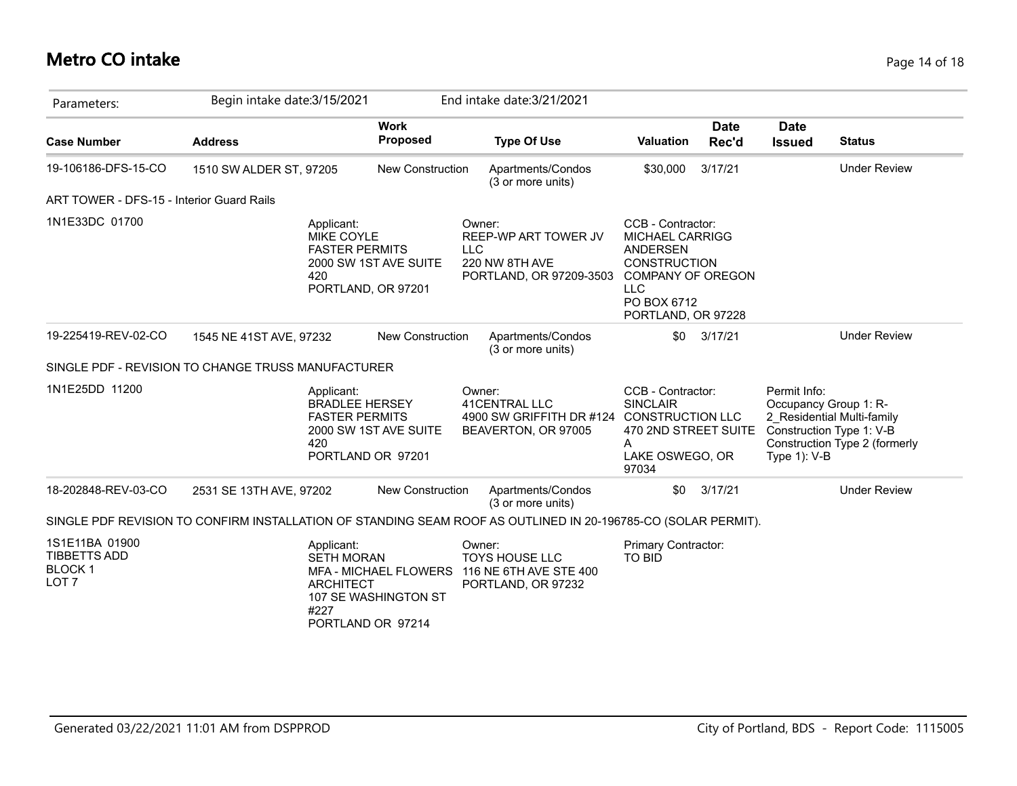### **Metro CO intake** Page 14 of 18

| Parameters:                                                                | Begin intake date: 3/15/2021                       |                                                                                                                                          |            | End intake date: 3/21/2021                                                                                    |                                                                                                                                                               |                      |                                                          |                                                                                         |
|----------------------------------------------------------------------------|----------------------------------------------------|------------------------------------------------------------------------------------------------------------------------------------------|------------|---------------------------------------------------------------------------------------------------------------|---------------------------------------------------------------------------------------------------------------------------------------------------------------|----------------------|----------------------------------------------------------|-----------------------------------------------------------------------------------------|
| <b>Case Number</b>                                                         | <b>Address</b>                                     | <b>Work</b><br>Proposed                                                                                                                  |            | <b>Type Of Use</b>                                                                                            | <b>Valuation</b>                                                                                                                                              | <b>Date</b><br>Rec'd | <b>Date</b><br><b>Issued</b>                             | <b>Status</b>                                                                           |
| 19-106186-DFS-15-CO                                                        | 1510 SW ALDER ST, 97205                            | <b>New Construction</b>                                                                                                                  |            | Apartments/Condos<br>(3 or more units)                                                                        | \$30,000                                                                                                                                                      | 3/17/21              |                                                          | <b>Under Review</b>                                                                     |
| ART TOWER - DFS-15 - Interior Guard Rails                                  |                                                    |                                                                                                                                          |            |                                                                                                               |                                                                                                                                                               |                      |                                                          |                                                                                         |
| 1N1E33DC 01700                                                             | 420                                                | Applicant:<br>MIKE COYLE<br><b>FASTER PERMITS</b><br>2000 SW 1ST AVE SUITE<br>PORTLAND, OR 97201                                         | <b>LLC</b> | Owner:<br>REEP-WP ART TOWER JV<br>220 NW 8TH AVE<br>PORTLAND, OR 97209-3503                                   | CCB - Contractor:<br>MICHAEL CARRIGG<br><b>ANDERSEN</b><br><b>CONSTRUCTION</b><br><b>COMPANY OF OREGON</b><br><b>LLC</b><br>PO BOX 6712<br>PORTLAND, OR 97228 |                      |                                                          |                                                                                         |
| 19-225419-REV-02-CO                                                        | 1545 NE 41ST AVE, 97232                            | <b>New Construction</b>                                                                                                                  |            | Apartments/Condos<br>(3 or more units)                                                                        | \$0                                                                                                                                                           | 3/17/21              |                                                          | <b>Under Review</b>                                                                     |
|                                                                            | SINGLE PDF - REVISION TO CHANGE TRUSS MANUFACTURER |                                                                                                                                          |            |                                                                                                               |                                                                                                                                                               |                      |                                                          |                                                                                         |
| 1N1E25DD 11200                                                             | 420                                                | Applicant:<br><b>BRADLEE HERSEY</b><br><b>FASTER PERMITS</b><br>2000 SW 1ST AVE SUITE<br>PORTLAND OR 97201                               |            | Owner:<br>41CENTRAL LLC<br>4900 SW GRIFFITH DR #124 CONSTRUCTION LLC<br>BEAVERTON, OR 97005                   | CCB - Contractor:<br><b>SINCLAIR</b><br>470 2ND STREET SUITE<br>A<br>LAKE OSWEGO, OR<br>97034                                                                 |                      | Permit Info:<br>Occupancy Group 1: R-<br>Type $1$ ): V-B | 2 Residential Multi-family<br>Construction Type 1: V-B<br>Construction Type 2 (formerly |
| 18-202848-REV-03-CO                                                        | 2531 SE 13TH AVE, 97202                            | <b>New Construction</b>                                                                                                                  |            | Apartments/Condos<br>(3 or more units)                                                                        | \$0                                                                                                                                                           | 3/17/21              |                                                          | <b>Under Review</b>                                                                     |
|                                                                            |                                                    |                                                                                                                                          |            | SINGLE PDF REVISION TO CONFIRM INSTALLATION OF STANDING SEAM ROOF AS OUTLINED IN 20-196785-CO (SOLAR PERMIT). |                                                                                                                                                               |                      |                                                          |                                                                                         |
| 1S1E11BA 01900<br><b>TIBBETTS ADD</b><br><b>BLOCK1</b><br>LOT <sub>7</sub> |                                                    | Applicant:<br><b>SETH MORAN</b><br><b>MFA - MICHAEL FLOWERS</b><br><b>ARCHITECT</b><br>107 SE WASHINGTON ST<br>#227<br>PORTLAND OR 97214 |            | Owner:<br><b>TOYS HOUSE LLC</b><br>116 NE 6TH AVE STE 400<br>PORTLAND, OR 97232                               | Primary Contractor:<br><b>TO BID</b>                                                                                                                          |                      |                                                          |                                                                                         |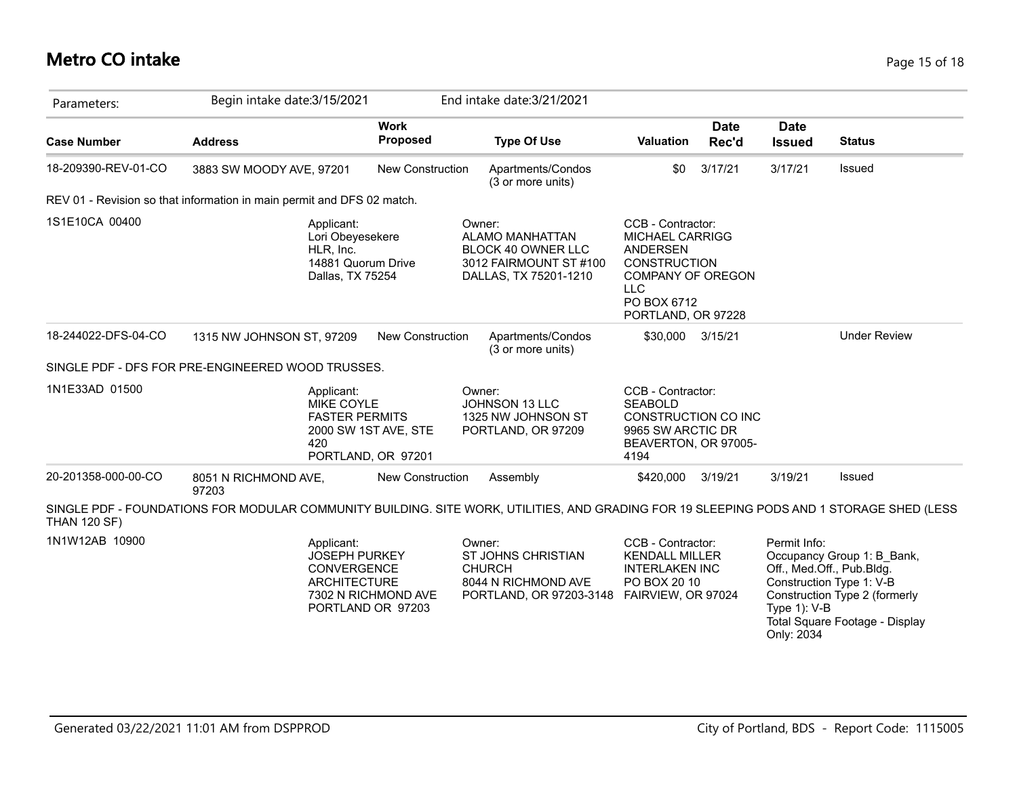### **Metro CO intake** Page 15 of 18

| Parameters:         | Begin intake date: 3/15/2021                                                                                                             |                                            | End intake date: 3/21/2021                                                                                       |                                                                                                                                                               |                      |                                   |                                                                                                                                                        |
|---------------------|------------------------------------------------------------------------------------------------------------------------------------------|--------------------------------------------|------------------------------------------------------------------------------------------------------------------|---------------------------------------------------------------------------------------------------------------------------------------------------------------|----------------------|-----------------------------------|--------------------------------------------------------------------------------------------------------------------------------------------------------|
| <b>Case Number</b>  | <b>Address</b>                                                                                                                           | <b>Work</b><br>Proposed                    | <b>Type Of Use</b>                                                                                               | <b>Valuation</b>                                                                                                                                              | <b>Date</b><br>Rec'd | <b>Date</b><br><b>Issued</b>      | <b>Status</b>                                                                                                                                          |
| 18-209390-REV-01-CO | 3883 SW MOODY AVE, 97201                                                                                                                 | New Construction                           | Apartments/Condos<br>(3 or more units)                                                                           | \$0                                                                                                                                                           | 3/17/21              | 3/17/21                           | Issued                                                                                                                                                 |
|                     | REV 01 - Revision so that information in main permit and DFS 02 match.                                                                   |                                            |                                                                                                                  |                                                                                                                                                               |                      |                                   |                                                                                                                                                        |
| 1S1E10CA 00400      | Applicant:<br>Lori Obeyesekere<br>HLR, Inc.<br>14881 Quorum Drive<br>Dallas, TX 75254                                                    |                                            | Owner:<br><b>ALAMO MANHATTAN</b><br><b>BLOCK 40 OWNER LLC</b><br>3012 FAIRMOUNT ST #100<br>DALLAS, TX 75201-1210 | CCB - Contractor:<br><b>MICHAEL CARRIGG</b><br><b>ANDERSEN</b><br><b>CONSTRUCTION</b><br>COMPANY OF OREGON<br><b>LLC</b><br>PO BOX 6712<br>PORTLAND, OR 97228 |                      |                                   |                                                                                                                                                        |
| 18-244022-DFS-04-CO | 1315 NW JOHNSON ST, 97209                                                                                                                | New Construction                           | Apartments/Condos<br>(3 or more units)                                                                           | \$30,000                                                                                                                                                      | 3/15/21              |                                   | <b>Under Review</b>                                                                                                                                    |
|                     | SINGLE PDF - DFS FOR PRE-ENGINEERED WOOD TRUSSES.                                                                                        |                                            |                                                                                                                  |                                                                                                                                                               |                      |                                   |                                                                                                                                                        |
| 1N1E33AD 01500      | Applicant:<br><b>MIKE COYLE</b><br><b>FASTER PERMITS</b><br>420                                                                          | 2000 SW 1ST AVE, STE<br>PORTLAND, OR 97201 | Owner:<br>JOHNSON 13 LLC<br>1325 NW JOHNSON ST<br>PORTLAND, OR 97209                                             | CCB - Contractor:<br><b>SEABOLD</b><br>CONSTRUCTION CO INC<br>9965 SW ARCTIC DR<br>BEAVERTON, OR 97005-<br>4194                                               |                      |                                   |                                                                                                                                                        |
| 20-201358-000-00-CO | 8051 N RICHMOND AVE,<br>97203                                                                                                            | New Construction                           | Assembly                                                                                                         | \$420,000                                                                                                                                                     | 3/19/21              | 3/19/21                           | Issued                                                                                                                                                 |
| <b>THAN 120 SF)</b> | SINGLE PDF - FOUNDATIONS FOR MODULAR COMMUNITY BUILDING. SITE WORK, UTILITIES, AND GRADING FOR 19 SLEEPING PODS AND 1 STORAGE SHED (LESS |                                            |                                                                                                                  |                                                                                                                                                               |                      |                                   |                                                                                                                                                        |
| 1N1W12AB 10900      | Applicant:<br><b>JOSEPH PURKEY</b><br>CONVERGENCE<br><b>ARCHITECTURE</b>                                                                 | 7302 N RICHMOND AVE<br>PORTLAND OR 97203   | Owner:<br><b>ST JOHNS CHRISTIAN</b><br><b>CHURCH</b><br>8044 N RICHMOND AVE<br>PORTLAND, OR 97203-3148           | CCB - Contractor:<br><b>KENDALL MILLER</b><br><b>INTERLAKEN INC</b><br>PO BOX 20 10<br>FAIRVIEW, OR 97024                                                     |                      | Permit Info:<br>Type $1$ ): $V-B$ | Occupancy Group 1: B_Bank,<br>Off., Med.Off., Pub.Bldg.<br>Construction Type 1: V-B<br>Construction Type 2 (formerly<br>Total Square Footage - Display |

Only: 2034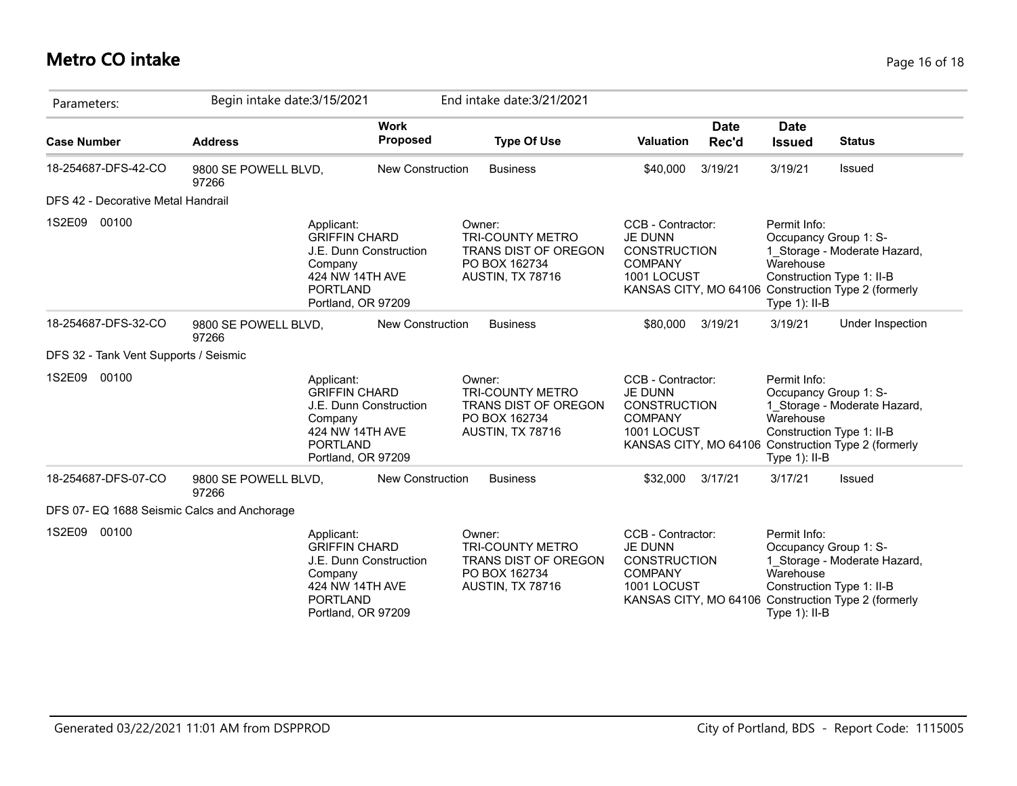# **Metro CO intake** Page 16 of 18

| Parameters:                                 | Begin intake date: 3/15/2021  |                                                                                                                                     |                                | End intake date: 3/21/2021                                                                            |                                                                                                                      |               |                                                                                                     |                                                                                     |
|---------------------------------------------|-------------------------------|-------------------------------------------------------------------------------------------------------------------------------------|--------------------------------|-------------------------------------------------------------------------------------------------------|----------------------------------------------------------------------------------------------------------------------|---------------|-----------------------------------------------------------------------------------------------------|-------------------------------------------------------------------------------------|
| <b>Case Number</b>                          | <b>Address</b>                |                                                                                                                                     | <b>Work</b><br><b>Proposed</b> | <b>Type Of Use</b>                                                                                    | Valuation                                                                                                            | Date<br>Rec'd | <b>Date</b><br><b>Issued</b>                                                                        | <b>Status</b>                                                                       |
| 18-254687-DFS-42-CO                         | 9800 SE POWELL BLVD,<br>97266 |                                                                                                                                     | <b>New Construction</b>        | <b>Business</b>                                                                                       | \$40,000                                                                                                             | 3/19/21       | 3/19/21                                                                                             | Issued                                                                              |
| DFS 42 - Decorative Metal Handrail          |                               |                                                                                                                                     |                                |                                                                                                       |                                                                                                                      |               |                                                                                                     |                                                                                     |
| 1S2E09<br>00100                             |                               | Applicant:<br><b>GRIFFIN CHARD</b><br>J.E. Dunn Construction<br>Company<br>424 NW 14TH AVE<br><b>PORTLAND</b><br>Portland, OR 97209 |                                | Owner:<br><b>TRI-COUNTY METRO</b><br>TRANS DIST OF OREGON<br>PO BOX 162734<br>AUSTIN, TX 78716        | CCB - Contractor:<br><b>JE DUNN</b><br><b>CONSTRUCTION</b><br><b>COMPANY</b><br>1001 LOCUST                          |               | Permit Info:<br>Occupancy Group 1: S-<br>Warehouse<br>Construction Type 1: II-B<br>Type 1): II-B    | 1_Storage - Moderate Hazard,<br>KANSAS CITY, MO 64106 Construction Type 2 (formerly |
| 18-254687-DFS-32-CO                         | 9800 SE POWELL BLVD,<br>97266 |                                                                                                                                     | <b>New Construction</b>        | <b>Business</b>                                                                                       | \$80,000                                                                                                             | 3/19/21       | 3/19/21                                                                                             | Under Inspection                                                                    |
| DFS 32 - Tank Vent Supports / Seismic       |                               |                                                                                                                                     |                                |                                                                                                       |                                                                                                                      |               |                                                                                                     |                                                                                     |
| 1S2E09<br>00100                             |                               | Applicant:<br><b>GRIFFIN CHARD</b><br>J.E. Dunn Construction<br>Company<br>424 NW 14TH AVE<br><b>PORTLAND</b><br>Portland, OR 97209 |                                | Owner:<br><b>TRI-COUNTY METRO</b><br><b>TRANS DIST OF OREGON</b><br>PO BOX 162734<br>AUSTIN, TX 78716 | CCB - Contractor:<br><b>JE DUNN</b><br><b>CONSTRUCTION</b><br><b>COMPANY</b><br>1001 LOCUST                          |               | Permit Info:<br>Occupancy Group 1: S-<br>Warehouse<br>Construction Type 1: II-B<br>Type $1$ ): II-B | 1_Storage - Moderate Hazard,<br>KANSAS CITY, MO 64106 Construction Type 2 (formerly |
| 18-254687-DFS-07-CO                         | 9800 SE POWELL BLVD,<br>97266 |                                                                                                                                     | New Construction               | <b>Business</b>                                                                                       | \$32,000                                                                                                             | 3/17/21       | 3/17/21                                                                                             | Issued                                                                              |
| DFS 07- EQ 1688 Seismic Calcs and Anchorage |                               |                                                                                                                                     |                                |                                                                                                       |                                                                                                                      |               |                                                                                                     |                                                                                     |
| 1S2E09<br>00100                             |                               | Applicant:<br><b>GRIFFIN CHARD</b><br>J.E. Dunn Construction<br>Company<br>424 NW 14TH AVE<br><b>PORTLAND</b><br>Portland, OR 97209 |                                | Owner:<br><b>TRI-COUNTY METRO</b><br><b>TRANS DIST OF OREGON</b><br>PO BOX 162734<br>AUSTIN, TX 78716 | CCB - Contractor:<br><b>JE DUNN</b><br><b>CONSTRUCTION</b><br><b>COMPANY</b><br>1001 LOCUST<br>KANSAS CITY, MO 64106 |               | Permit Info:<br>Occupancy Group 1: S-<br>Warehouse<br>Construction Type 1: II-B<br>Type 1): II-B    | 1_Storage - Moderate Hazard,<br>Construction Type 2 (formerly                       |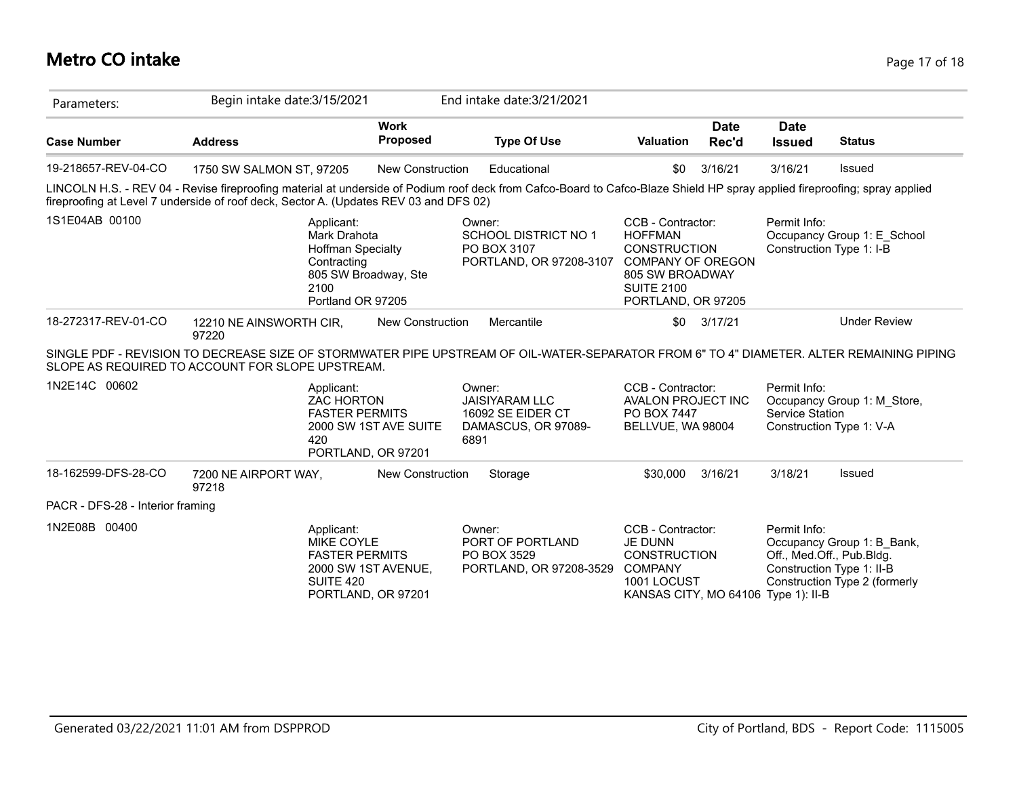#### **Metro CO intake** Page 17 of 18

| Parameters:                                                                                                                                  | Begin intake date: 3/15/2021                                                                                                                                                                                                                                       |                                                                                 | End intake date: 3/21/2021                                                  |                                                                                                                                                      |                      |                                                                         |                                                             |
|----------------------------------------------------------------------------------------------------------------------------------------------|--------------------------------------------------------------------------------------------------------------------------------------------------------------------------------------------------------------------------------------------------------------------|---------------------------------------------------------------------------------|-----------------------------------------------------------------------------|------------------------------------------------------------------------------------------------------------------------------------------------------|----------------------|-------------------------------------------------------------------------|-------------------------------------------------------------|
| <b>Case Number</b>                                                                                                                           | <b>Address</b>                                                                                                                                                                                                                                                     | <b>Work</b><br>Proposed                                                         | <b>Type Of Use</b>                                                          | <b>Valuation</b>                                                                                                                                     | <b>Date</b><br>Rec'd | <b>Date</b><br><b>Issued</b>                                            | <b>Status</b>                                               |
| 19-218657-REV-04-CO                                                                                                                          | 1750 SW SALMON ST, 97205                                                                                                                                                                                                                                           | <b>New Construction</b>                                                         | Educational                                                                 | \$0                                                                                                                                                  | 3/16/21              | 3/16/21                                                                 | Issued                                                      |
|                                                                                                                                              | LINCOLN H.S. - REV 04 - Revise fireproofing material at underside of Podium roof deck from Cafco-Board to Cafco-Blaze Shield HP spray applied fireproofing; spray applied<br>fireproofing at Level 7 underside of roof deck, Sector A. (Updates REV 03 and DFS 02) |                                                                                 |                                                                             |                                                                                                                                                      |                      |                                                                         |                                                             |
| 1S1E04AB 00100<br>Applicant:<br>Mark Drahota<br><b>Hoffman Specialty</b><br>Contracting<br>805 SW Broadway, Ste<br>2100<br>Portland OR 97205 |                                                                                                                                                                                                                                                                    | Owner:<br><b>SCHOOL DISTRICT NO 1</b><br>PO BOX 3107<br>PORTLAND, OR 97208-3107 |                                                                             | CCB - Contractor:<br><b>HOFFMAN</b><br><b>CONSTRUCTION</b><br><b>COMPANY OF OREGON</b><br>805 SW BROADWAY<br><b>SUITE 2100</b><br>PORTLAND, OR 97205 |                      | Permit Info:<br>Occupancy Group 1: E School<br>Construction Type 1: I-B |                                                             |
| 18-272317-REV-01-CO                                                                                                                          | 12210 NE AINSWORTH CIR,<br>97220                                                                                                                                                                                                                                   | <b>New Construction</b>                                                         | Mercantile                                                                  | \$0                                                                                                                                                  | 3/17/21              |                                                                         | <b>Under Review</b>                                         |
|                                                                                                                                              | SINGLE PDF - REVISION TO DECREASE SIZE OF STORMWATER PIPE UPSTREAM OF OIL-WATER-SEPARATOR FROM 6" TO 4" DIAMETER. ALTER REMAINING PIPING<br>SLOPE AS REQUIRED TO ACCOUNT FOR SLOPE UPSTREAM.                                                                       |                                                                                 |                                                                             |                                                                                                                                                      |                      |                                                                         |                                                             |
| 1N2E14C 00602                                                                                                                                | Applicant:<br><b>ZAC HORTON</b><br><b>FASTER PERMITS</b><br>420<br>PORTLAND, OR 97201                                                                                                                                                                              | 2000 SW 1ST AVE SUITE<br>6891                                                   | Owner:<br><b>JAISIYARAM LLC</b><br>16092 SE EIDER CT<br>DAMASCUS, OR 97089- | CCB - Contractor:<br><b>AVALON PROJECT INC</b><br>PO BOX 7447<br>BELLVUE, WA 98004                                                                   |                      | Permit Info:<br>Service Station                                         | Occupancy Group 1: M Store,<br>Construction Type 1: V-A     |
| 18-162599-DFS-28-CO                                                                                                                          | 7200 NE AIRPORT WAY,<br>97218                                                                                                                                                                                                                                      | <b>New Construction</b>                                                         | Storage                                                                     | \$30,000                                                                                                                                             | 3/16/21              | 3/18/21                                                                 | Issued                                                      |
| PACR - DFS-28 - Interior framing                                                                                                             |                                                                                                                                                                                                                                                                    |                                                                                 |                                                                             |                                                                                                                                                      |                      |                                                                         |                                                             |
| 1N2E08B 00400                                                                                                                                | Applicant:<br>MIKE COYLE<br><b>FASTER PERMITS</b><br><b>SUITE 420</b><br>PORTLAND, OR 97201                                                                                                                                                                        | 2000 SW 1ST AVENUE,                                                             | Owner:<br>PORT OF PORTLAND<br>PO BOX 3529<br>PORTLAND, OR 97208-3529        | CCB - Contractor:<br><b>JE DUNN</b><br><b>CONSTRUCTION</b><br><b>COMPANY</b><br>1001 LOCUST<br>KANSAS CITY, MO 64106 Type 1): II-B                   |                      | Permit Info:<br>Off., Med.Off., Pub.Bldg.<br>Construction Type 1: II-B  | Occupancy Group 1: B Bank,<br>Construction Type 2 (formerly |